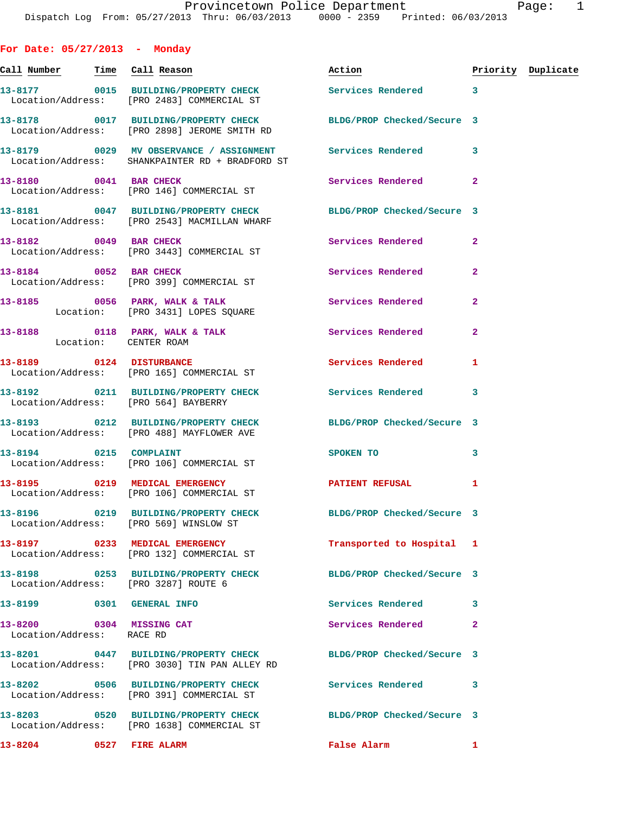**For Date: 05/27/2013 - Monday** Call Number Time Call Reason **Reason Action Action** Priority Duplicate **13-8177 0015 BUILDING/PROPERTY CHECK Services Rendered 3**  Location/Address: [PRO 2483] COMMERCIAL ST **13-8178 0017 BUILDING/PROPERTY CHECK BLDG/PROP Checked/Secure 3**  Location/Address: [PRO 2898] JEROME SMITH RD **13-8179 0029 MV OBSERVANCE / ASSIGNMENT Services Rendered 3**  Location/Address: SHANKPAINTER RD + BRADFORD ST **13-8180** 0041 BAR CHECK **13-8180** Services Rendered 2 Location/Address: [PRO 146] COMMERCIAL ST **13-8181 0047 BUILDING/PROPERTY CHECK BLDG/PROP Checked/Secure 3**  Location/Address: [PRO 2543] MACMILLAN WHARF **13-8182 0049 BAR CHECK Services Rendered 2**  Location/Address: [PRO 3443] COMMERCIAL ST **13-8184** 0052 BAR CHECK **13-8184** Services Rendered 2 Location/Address: [PRO 399] COMMERCIAL ST 13-8185 **0056 PARK, WALK & TALK Services Rendered** 2 Location: [PRO 3431] LOPES SQUARE 13-8188 **0118 PARK, WALK & TALK Services Rendered** 2 Location: CENTER ROAM **13-8189 0124 DISTURBANCE Services Rendered 1**  Location/Address: [PRO 165] COMMERCIAL ST **13-8192 0211 BUILDING/PROPERTY CHECK Services Rendered 3**  Location/Address: [PRO 564] BAYBERRY **13-8193 0212 BUILDING/PROPERTY CHECK BLDG/PROP Checked/Secure 3**  Location/Address: [PRO 488] MAYFLOWER AVE **13-8194** 0215 COMPLAINT SPOKEN TO 3 Location/Address: [PRO 106] COMMERCIAL ST 13-8195 0219 MEDICAL EMERGENCY PATIENT REFUSAL 1 Location/Address: [PRO 106] COMMERCIAL ST **13-8196 0219 BUILDING/PROPERTY CHECK BLDG/PROP Checked/Secure 3**  Location/Address: [PRO 569] WINSLOW ST **13-8197 0233 MEDICAL EMERGENCY Transported to Hospital 1**  Location/Address: [PRO 132] COMMERCIAL ST **13-8198 0253 BUILDING/PROPERTY CHECK BLDG/PROP Checked/Secure 3**  Location/Address: [PRO 3287] ROUTE 6 **13-8199 0301 GENERAL INFO Services Rendered 3**  13-8200 0304 MISSING CAT Services Rendered 2 Location/Address: RACE RD **13-8201 0447 BUILDING/PROPERTY CHECK BLDG/PROP Checked/Secure 3**  Location/Address: [PRO 3030] TIN PAN ALLEY RD **13-8202 0506 BUILDING/PROPERTY CHECK Services Rendered 3**  Location/Address: [PRO 391] COMMERCIAL ST **13-8203 0520 BUILDING/PROPERTY CHECK BLDG/PROP Checked/Secure 3** 

**13-8204 0527 FIRE ALARM False Alarm 1** 

Location/Address: [PRO 1638] COMMERCIAL ST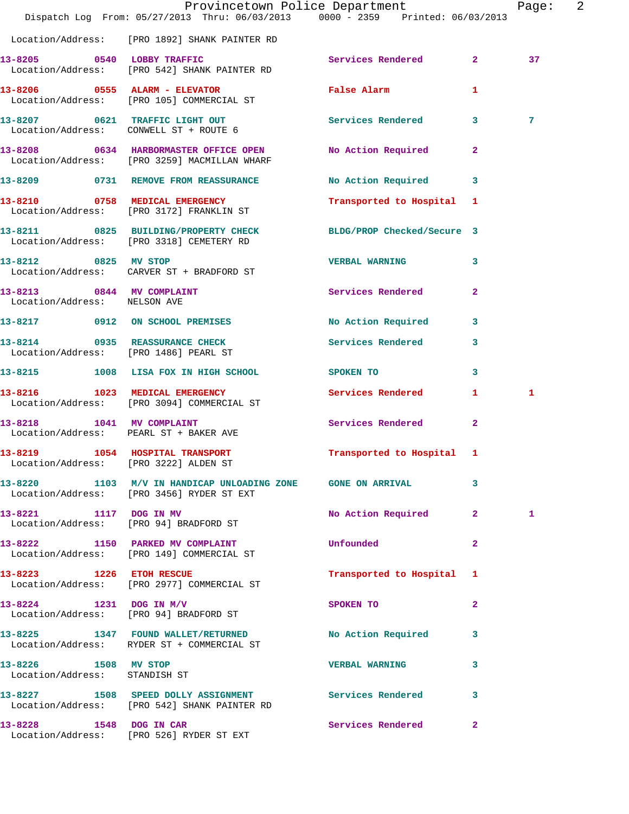|                                                                         | Dispatch Log From: 05/27/2013 Thru: 06/03/2013 0000 - 2359 Printed: 06/03/2013                             | Provincetown Police Department                                                                                                                                                                                                      | $\overline{\phantom{a}}^2$<br>Page: |
|-------------------------------------------------------------------------|------------------------------------------------------------------------------------------------------------|-------------------------------------------------------------------------------------------------------------------------------------------------------------------------------------------------------------------------------------|-------------------------------------|
|                                                                         | Location/Address: [PRO 1892] SHANK PAINTER RD                                                              |                                                                                                                                                                                                                                     |                                     |
| 13-8205 0540 LOBBY TRAFFIC                                              | Location/Address: [PRO 542] SHANK PAINTER RD                                                               | Services Rendered 2                                                                                                                                                                                                                 | 37                                  |
|                                                                         | 13-8206 0555 ALARM - ELEVATOR<br>Location/Address: [PRO 105] COMMERCIAL ST                                 | False Alarm                                                                                                                                                                                                                         | 1                                   |
|                                                                         | 13-8207 0621 TRAFFIC LIGHT OUT<br>Location/Address: CONWELL ST + ROUTE 6                                   | Services Rendered 3                                                                                                                                                                                                                 | 7                                   |
|                                                                         | 13-8208 0634 HARBORMASTER OFFICE OPEN<br>Location/Address: [PRO 3259] MACMILLAN WHARF                      | No Action Required                                                                                                                                                                                                                  | $\mathbf{2}$                        |
|                                                                         | 13-8209 0731 REMOVE FROM REASSURANCE                                                                       | No Action Required 3                                                                                                                                                                                                                |                                     |
|                                                                         | 13-8210 0758 MEDICAL EMERGENCY<br>Location/Address: [PRO 3172] FRANKLIN ST                                 | Transported to Hospital 1                                                                                                                                                                                                           |                                     |
|                                                                         | 13-8211 0825 BUILDING/PROPERTY CHECK<br>Location/Address: [PRO 3318] CEMETERY RD                           | BLDG/PROP Checked/Secure 3                                                                                                                                                                                                          |                                     |
| 13-8212 0825 MV STOP                                                    | Location/Address: CARVER ST + BRADFORD ST                                                                  | <b>VERBAL WARNING</b>                                                                                                                                                                                                               | 3                                   |
| 13-8213 0844 MV COMPLAINT<br>Location/Address: NELSON AVE               |                                                                                                            | Services Rendered                                                                                                                                                                                                                   | $\mathbf{2}$                        |
|                                                                         | 13-8217 0912 ON SCHOOL PREMISES                                                                            | No Action Required                                                                                                                                                                                                                  | 3                                   |
| 13-8214 0935 REASSURANCE CHECK<br>Location/Address: [PRO 1486] PEARL ST |                                                                                                            | Services Rendered                                                                                                                                                                                                                   | 3                                   |
|                                                                         | 13-8215 1008 LISA FOX IN HIGH SCHOOL                                                                       | SPOKEN TO                                                                                                                                                                                                                           | 3                                   |
|                                                                         | 13-8216 1023 MEDICAL EMERGENCY<br>Location/Address: [PRO 3094] COMMERCIAL ST                               | Services Rendered                                                                                                                                                                                                                   | $\mathbf{1}$<br>1                   |
| 13-8218 1041 MV COMPLAINT<br>Location/Address: PEARL ST + BAKER AVE     |                                                                                                            | Services Rendered                                                                                                                                                                                                                   | $\mathbf{2}$                        |
| Location/Address: [PRO 3222] ALDEN ST                                   | 13-8219 1054 HOSPITAL TRANSPORT                                                                            | Transported to Hospital 1                                                                                                                                                                                                           |                                     |
|                                                                         | 13-8220 1103 M/V IN HANDICAP UNLOADING ZONE GONE ON ARRIVAL 3<br>Location/Address: [PRO 3456] RYDER ST EXT |                                                                                                                                                                                                                                     |                                     |
|                                                                         | 13-8221 1117 DOG IN MV<br>Location/Address: [PRO 94] BRADFORD ST                                           | No Action Required 2                                                                                                                                                                                                                | 1                                   |
|                                                                         | 13-8222 1150 PARKED MV COMPLAINT<br>Location/Address: [PRO 149] COMMERCIAL ST                              | <b>Unfounded</b> the contract of the contract of the contract of the contract of the contract of the contract of the contract of the contract of the contract of the contract of the contract of the contract of the contract of th | $\mathbf{2}$                        |
|                                                                         | 13-8223 1226 ETOH RESCUE<br>Location/Address: [PRO 2977] COMMERCIAL ST                                     | Transported to Hospital 1                                                                                                                                                                                                           |                                     |
|                                                                         | 13-8224 1231 DOG IN M/V<br>Location/Address: [PRO 94] BRADFORD ST                                          | SPOKEN TO                                                                                                                                                                                                                           | $\mathbf{2}$                        |
|                                                                         | 13-8225 1347 FOUND WALLET/RETURNED<br>Location/Address: RYDER ST + COMMERCIAL ST                           | No Action Required 3                                                                                                                                                                                                                |                                     |
| 13-8226 1508 MV STOP<br>Location/Address: STANDISH ST                   |                                                                                                            | <b>VERBAL WARNING</b>                                                                                                                                                                                                               | $\mathbf{3}$                        |
|                                                                         | 13-8227 1508 SPEED DOLLY ASSIGNMENT Services Rendered 3<br>Location/Address: [PRO 542] SHANK PAINTER RD    |                                                                                                                                                                                                                                     |                                     |
| 13-8228 1548 DOG IN CAR                                                 | Location/Address: [PRO 526] RYDER ST EXT                                                                   | Services Rendered 2                                                                                                                                                                                                                 |                                     |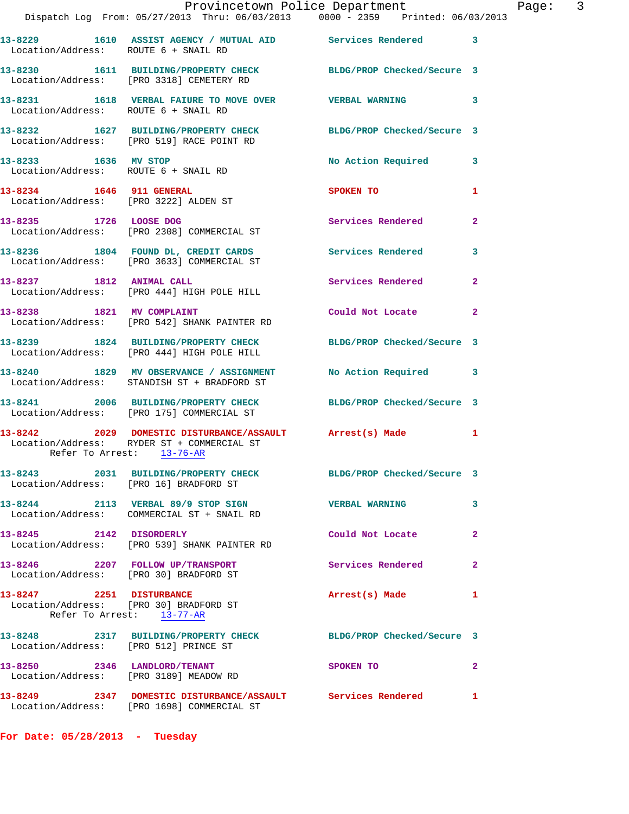|                                                                        | Provincetown Police Department<br>Dispatch Log From: 05/27/2013 Thru: 06/03/2013   0000 - 2359   Printed: 06/03/2013                |                          | $\overline{3}$<br>Page: |  |
|------------------------------------------------------------------------|-------------------------------------------------------------------------------------------------------------------------------------|--------------------------|-------------------------|--|
|                                                                        |                                                                                                                                     |                          |                         |  |
| Location/Address: ROUTE 6 + SNAIL RD                                   | 13-8229 1610 ASSIST AGENCY / MUTUAL AID Services Rendered 3                                                                         |                          |                         |  |
|                                                                        | 13-8230 1611 BUILDING/PROPERTY CHECK BLDG/PROP Checked/Secure 3<br>Location/Address: [PRO 3318] CEMETERY RD                         |                          |                         |  |
| Location/Address: ROUTE 6 + SNAIL RD                                   | 13-8231 1618 VERBAL FAIURE TO MOVE OVER THE VERBAL WARNING                                                                          |                          | $\mathbf{3}$            |  |
|                                                                        | 13-8232 1627 BUILDING/PROPERTY CHECK BLDG/PROP Checked/Secure 3<br>Location/Address: [PRO 519] RACE POINT RD                        |                          |                         |  |
|                                                                        | 13-8233 1636 MV STOP<br>Location/Address: ROUTE 6 + SNAIL RD                                                                        | No Action Required 3     |                         |  |
| 13-8234 1646 911 GENERAL                                               | Location/Address: [PRO 3222] ALDEN ST                                                                                               | SPOKEN TO                | 1                       |  |
|                                                                        | 13-8235 1726 LOOSE DOG<br>Location/Address: [PRO 2308] COMMERCIAL ST                                                                | <b>Services Rendered</b> | $\mathbf{2}$            |  |
|                                                                        | 13-8236 1804 FOUND DL, CREDIT CARDS Services Rendered 3<br>Location/Address: [PRO 3633] COMMERCIAL ST                               |                          |                         |  |
|                                                                        | 13-8237 1812 ANIMAL CALL 2008 Services Rendered<br>Location/Address: [PRO 444] HIGH POLE HILL                                       |                          | $\mathbf{2}$            |  |
|                                                                        | 13-8238 1821 MV COMPLAINT<br>Location/Address: [PRO 542] SHANK PAINTER RD                                                           | Could Not Locate         | $\mathbf{2}$            |  |
|                                                                        | 13-8239 1824 BUILDING/PROPERTY CHECK BLDG/PROP Checked/Secure 3<br>Location/Address: [PRO 444] HIGH POLE HILL                       |                          |                         |  |
|                                                                        | 13-8240 1829 MV OBSERVANCE / ASSIGNMENT No Action Required 3<br>Location/Address: STANDISH ST + BRADFORD ST                         |                          |                         |  |
|                                                                        | 13-8241 2006 BUILDING/PROPERTY CHECK BLDG/PROP Checked/Secure 3<br>Location/Address: [PRO 175] COMMERCIAL ST                        |                          |                         |  |
|                                                                        | 13-8242 2029 DOMESTIC DISTURBANCE/ASSAULT Arrest(s) Made<br>Location/Address: RYDER ST + COMMERCIAL ST<br>Refer To Arrest: 13-76-AR |                          | 1                       |  |
| Location/Address: [PRO 16] BRADFORD ST                                 | 13-8243 2031 BUILDING/PROPERTY CHECK BLDG/PROP Checked/Secure 3                                                                     |                          |                         |  |
|                                                                        | 13-8244 2113 VERBAL 89/9 STOP SIGN VERBAL WARNING<br>Location/Address: COMMERCIAL ST + SNAIL RD                                     |                          | 3                       |  |
|                                                                        | 13-8245 2142 DISORDERLY<br>Location/Address: [PRO 539] SHANK PAINTER RD                                                             | Could Not Locate         | $\mathbf{2}$            |  |
|                                                                        | 13-8246 2207 FOLLOW UP/TRANSPORT<br>Location/Address: [PRO 30] BRADFORD ST                                                          | Services Rendered        | $\mathbf{2}$            |  |
| 13-8247 2251 DISTURBANCE<br>Location/Address: [PRO 30] BRADFORD ST     | Refer To Arrest: 13-77-AR                                                                                                           | Arrest(s) Made           | 1                       |  |
| Location/Address: [PRO 512] PRINCE ST                                  | 13-8248 2317 BUILDING/PROPERTY CHECK BLDG/PROP Checked/Secure 3                                                                     |                          |                         |  |
| 13-8250 2346 LANDLORD/TENANT<br>Location/Address: [PRO 3189] MEADOW RD |                                                                                                                                     | SPOKEN TO                | $\mathbf{2}$            |  |
|                                                                        | 13-8249 2347 DOMESTIC DISTURBANCE/ASSAULT Services Rendered 1                                                                       |                          |                         |  |

**For Date: 05/28/2013 - Tuesday**

Location/Address: [PRO 1698] COMMERCIAL ST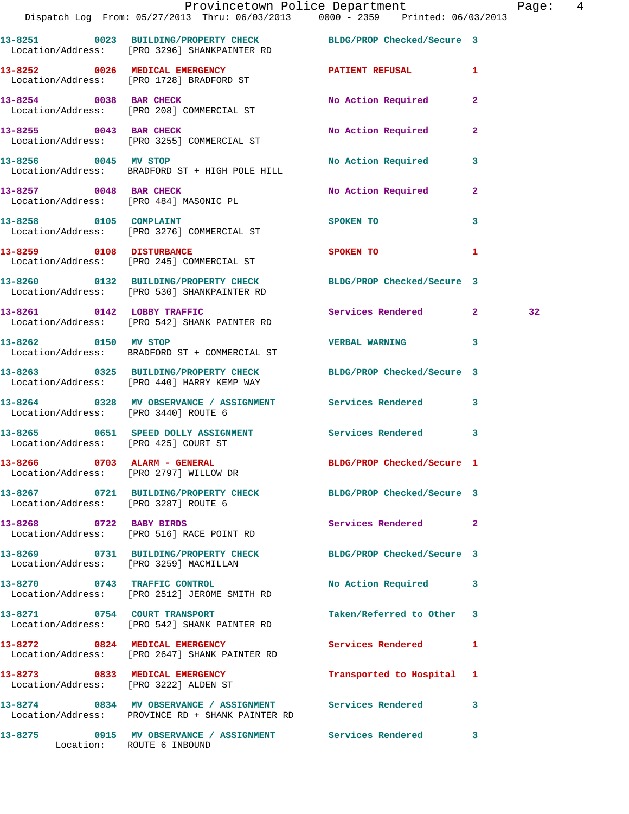|                                                                        | Provincetown Police Department Fage: 4<br>Dispatch Log From: 05/27/2013 Thru: 06/03/2013 0000 - 2359 Printed: 06/03/2013 |                            |              |    |  |
|------------------------------------------------------------------------|--------------------------------------------------------------------------------------------------------------------------|----------------------------|--------------|----|--|
|                                                                        | 13-8251 0023 BUILDING/PROPERTY CHECK BLDG/PROP Checked/Secure 3<br>Location/Address: [PRO 3296] SHANKPAINTER RD          |                            |              |    |  |
|                                                                        | 13-8252 0026 MEDICAL EMERGENCY <b>EXERCIBLE PATIENT REFUSAL</b> 1<br>Location/Address: [PRO 1728] BRADFORD ST            |                            |              |    |  |
|                                                                        | 13-8254 0038 BAR CHECK<br>Location/Address: [PRO 208] COMMERCIAL ST                                                      | No Action Required         | $\mathbf{2}$ |    |  |
|                                                                        | 13-8255 0043 BAR CHECK<br>Location/Address: [PRO 3255] COMMERCIAL ST                                                     | No Action Required         | $\mathbf{2}$ |    |  |
|                                                                        | 13-8256 0045 MV STOP<br>Location/Address: BRADFORD ST + HIGH POLE HILL                                                   | No Action Required         | $\mathbf{3}$ |    |  |
|                                                                        | 13-8257 0048 BAR CHECK<br>Location/Address: [PRO 484] MASONIC PL                                                         | No Action Required         | $\mathbf{2}$ |    |  |
|                                                                        | 13-8258 0105 COMPLAINT<br>Location/Address: [PRO 3276] COMMERCIAL ST                                                     | SPOKEN TO                  | 3            |    |  |
|                                                                        | 13-8259 0108 DISTURBANCE<br>Location/Address: [PRO 245] COMMERCIAL ST                                                    | SPOKEN TO                  | 1            |    |  |
|                                                                        | 13-8260 0132 BUILDING/PROPERTY CHECK BLDG/PROP Checked/Secure 3<br>Location/Address: [PRO 530] SHANKPAINTER RD           |                            |              |    |  |
|                                                                        | 13-8261 0142 LOBBY TRAFFIC<br>Location/Address: [PRO 542] SHANK PAINTER RD                                               | Services Rendered 2        |              | 32 |  |
| 13-8262 0150 MV STOP                                                   | Location/Address: BRADFORD ST + COMMERCIAL ST                                                                            | VERBAL WARNING 3           |              |    |  |
|                                                                        | 13-8263 0325 BUILDING/PROPERTY CHECK BLDG/PROP Checked/Secure 3<br>Location/Address: [PRO 440] HARRY KEMP WAY            |                            |              |    |  |
| Location/Address: [PRO 3440] ROUTE 6                                   | 13-8264 0328 MV OBSERVANCE / ASSIGNMENT Services Rendered 3                                                              |                            |              |    |  |
| Location/Address: [PRO 425] COURT ST                                   | 13-8265 0651 SPEED DOLLY ASSIGNMENT Services Rendered 3                                                                  |                            |              |    |  |
| 13-8266 0703 ALARM - GENERAL<br>Location/Address: [PRO 2797] WILLOW DR |                                                                                                                          | BLDG/PROP Checked/Secure 1 |              |    |  |
| Location/Address: [PRO 3287] ROUTE 6                                   | 13-8267 0721 BUILDING/PROPERTY CHECK BLDG/PROP Checked/Secure 3                                                          |                            |              |    |  |
| 13-8268 0722 BABY BIRDS                                                | Location/Address: [PRO 516] RACE POINT RD                                                                                | Services Rendered          | $\mathbf{2}$ |    |  |
| Location/Address: [PRO 3259] MACMILLAN                                 | 13-8269 0731 BUILDING/PROPERTY CHECK BLDG/PROP Checked/Secure 3                                                          |                            |              |    |  |
|                                                                        | 13-8270 0743 TRAFFIC CONTROL<br>Location/Address: [PRO 2512] JEROME SMITH RD                                             | No Action Required 3       |              |    |  |
|                                                                        | 13-8271 0754 COURT TRANSPORT<br>Location/Address: [PRO 542] SHANK PAINTER RD                                             | Taken/Referred to Other 3  |              |    |  |
|                                                                        | 13-8272 0824 MEDICAL EMERGENCY<br>Location/Address: [PRO 2647] SHANK PAINTER RD                                          | Services Rendered 1        |              |    |  |
| Location/Address: [PRO 3222] ALDEN ST                                  | 13-8273 0833 MEDICAL EMERGENCY                                                                                           | Transported to Hospital 1  |              |    |  |
|                                                                        | 13-8274 0834 MV OBSERVANCE / ASSIGNMENT Services Rendered<br>Location/Address: PROVINCE RD + SHANK PAINTER RD            |                            | 3            |    |  |
|                                                                        | 13-8275 0915 MV OBSERVANCE / ASSIGNMENT Services Rendered<br>Location: ROUTE 6 INBOUND                                   |                            | 3            |    |  |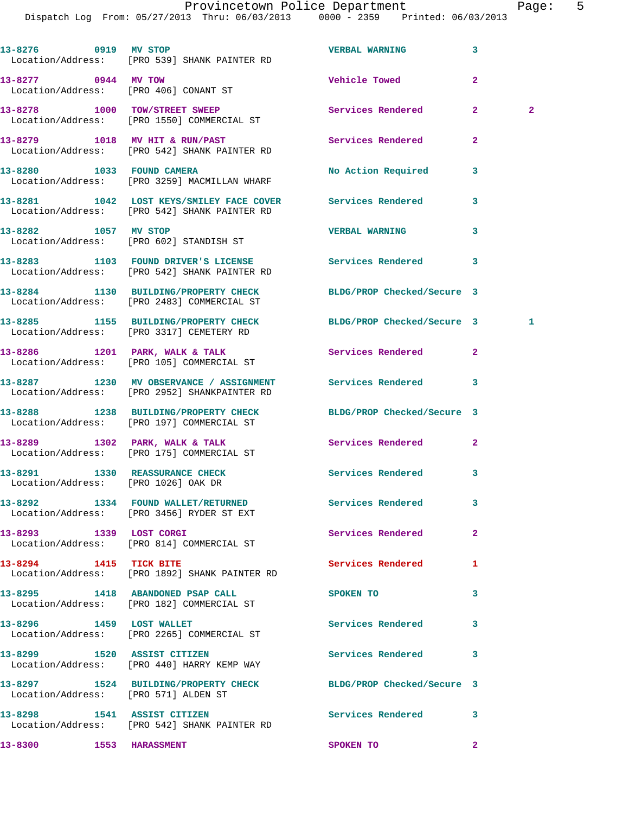**13-8276 0919 MV STOP VERBAL WARNING 3**  Location/Address: [PRO 539] SHANK PAINTER RD **13-8277 0944 MV TOW Vehicle Towed 2**  Location/Address: [PRO 406] CONANT ST **13-8278 1000 TOW/STREET SWEEP Services Rendered 2 2**  Location/Address: [PRO 1550] COMMERCIAL ST **13-8279 1018 MV HIT & RUN/PAST Services Rendered 2**  Location/Address: [PRO 542] SHANK PAINTER RD **13-8280 1033 FOUND CAMERA No Action Required 3**  Location/Address: [PRO 3259] MACMILLAN WHARF **13-8281 1042 LOST KEYS/SMILEY FACE COVER Services Rendered 3**  Location/Address: [PRO 542] SHANK PAINTER RD **13-8282 1057 MV STOP VERBAL WARNING 3**  Location/Address: [PRO 602] STANDISH ST **13-8283 1103 FOUND DRIVER'S LICENSE Services Rendered 3**  Location/Address: [PRO 542] SHANK PAINTER RD **13-8284 1130 BUILDING/PROPERTY CHECK BLDG/PROP Checked/Secure 3**  Location/Address: [PRO 2483] COMMERCIAL ST **13-8285 1155 BUILDING/PROPERTY CHECK BLDG/PROP Checked/Secure 3 1**  Location/Address: [PRO 3317] CEMETERY RD **13-8286 1201 PARK, WALK & TALK Services Rendered 2**  Location/Address: [PRO 105] COMMERCIAL ST **13-8287 1230 MV OBSERVANCE / ASSIGNMENT Services Rendered 3**  Location/Address: [PRO 2952] SHANKPAINTER RD **13-8288 1238 BUILDING/PROPERTY CHECK BLDG/PROP Checked/Secure 3**  Location/Address: [PRO 197] COMMERCIAL ST **13-8289 1302 PARK, WALK & TALK Services Rendered 2**  Location/Address: [PRO 175] COMMERCIAL ST 13-8291 1330 REASSURANCE CHECK **Services Rendered** 3 Location/Address: [PRO 1026] OAK DR **13-8292 1334 FOUND WALLET/RETURNED Services Rendered 3**  Location/Address: [PRO 3456] RYDER ST EXT **13-8293 1339 LOST CORGI Services Rendered 2**  Location/Address: [PRO 814] COMMERCIAL ST **13-8294 1415 TICK BITE Services Rendered 1**  Location/Address: [PRO 1892] SHANK PAINTER RD **13-8295 1418 ABANDONED PSAP CALL SPOKEN TO 3**  Location/Address: [PRO 182] COMMERCIAL ST 13-8296 1459 LOST WALLET **13-8296** Services Rendered 3 Location/Address: [PRO 2265] COMMERCIAL ST **13-8299 1520 ASSIST CITIZEN Services Rendered 3**  Location/Address: [PRO 440] HARRY KEMP WAY **13-8297 1524 BUILDING/PROPERTY CHECK BLDG/PROP Checked/Secure 3**  Location/Address: [PRO 571] ALDEN ST **13-8298 1541 ASSIST CITIZEN Services Rendered 3**  Location/Address: [PRO 542] SHANK PAINTER RD

**13-8300 1553 HARASSMENT SPOKEN TO 2**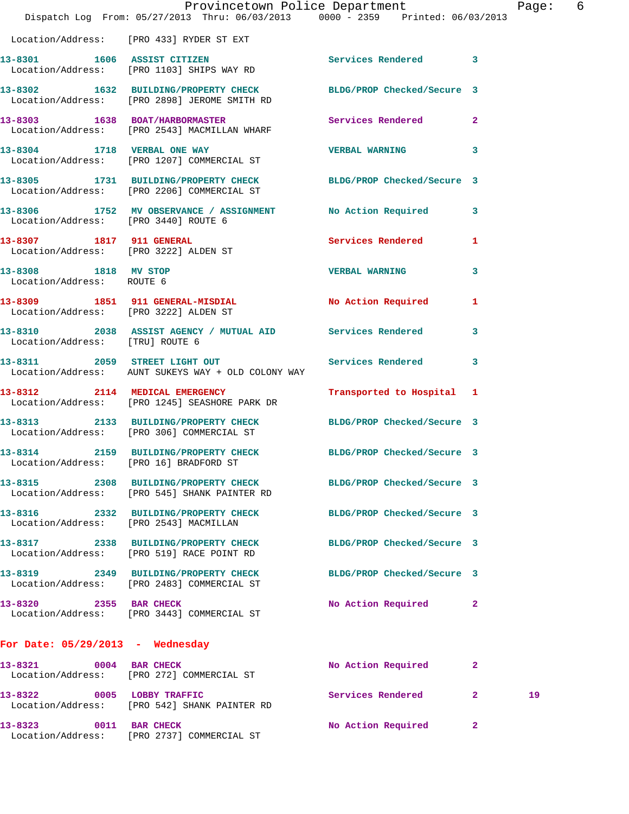|                                                   | Dispatch Log From: 05/27/2013 Thru: 06/03/2013 0000 - 2359 Printed: 06/03/2013                                  | Provincetown Police Department |              | Page: 6 |  |
|---------------------------------------------------|-----------------------------------------------------------------------------------------------------------------|--------------------------------|--------------|---------|--|
|                                                   | Location/Address: [PRO 433] RYDER ST EXT                                                                        |                                |              |         |  |
|                                                   | 13-8301 1606 ASSIST CITIZEN<br>Location/Address: [PRO 1103] SHIPS WAY RD                                        | Services Rendered 3            |              |         |  |
|                                                   | 13-8302 1632 BUILDING/PROPERTY CHECK BLDG/PROP Checked/Secure 3<br>Location/Address: [PRO 2898] JEROME SMITH RD |                                |              |         |  |
|                                                   | 13-8303 1638 BOAT/HARBORMASTER<br>Location/Address: [PRO 2543] MACMILLAN WHARF                                  | Services Rendered 2            |              |         |  |
|                                                   | 13-8304 1718 VERBAL ONE WAY<br>Location/Address: [PRO 1207] COMMERCIAL ST                                       | <b>VERBAL WARNING</b>          | 3            |         |  |
|                                                   | 13-8305 1731 BUILDING/PROPERTY CHECK BLDG/PROP Checked/Secure 3<br>Location/Address: [PRO 2206] COMMERCIAL ST   |                                |              |         |  |
| Location/Address: [PRO 3440] ROUTE 6              | 13-8306 1752 MV OBSERVANCE / ASSIGNMENT No Action Required 3                                                    |                                |              |         |  |
|                                                   | 13-8307 1817 911 GENERAL<br>Location/Address: [PRO 3222] ALDEN ST                                               | Services Rendered 1            |              |         |  |
| 13-8308 1818 MV STOP<br>Location/Address: ROUTE 6 |                                                                                                                 | <b>VERBAL WARNING</b>          | 3            |         |  |
| Location/Address: [PRO 3222] ALDEN ST             | 13-8309 1851 911 GENERAL-MISDIAL No Action Required 1                                                           |                                |              |         |  |
|                                                   | 13-8310 2038 ASSIST AGENCY / MUTUAL AID Services Rendered<br>Location/Address: [TRU] ROUTE 6                    |                                | 3            |         |  |
|                                                   | 13-8311 2059 STREET LIGHT OUT Services Rendered<br>Location/Address: AUNT SUKEYS WAY + OLD COLONY WAY           |                                | 3            |         |  |
|                                                   | 13-8312 2114 MEDICAL EMERGENCY<br>Location/Address: [PRO 1245] SEASHORE PARK DR                                 | Transported to Hospital 1      |              |         |  |
|                                                   | 13-8313 2133 BUILDING/PROPERTY CHECK BLDG/PROP Checked/Secure 3<br>Location/Address: [PRO 306] COMMERCIAL ST    |                                |              |         |  |
| Location/Address: [PRO 16] BRADFORD ST            | 13-8314 2159 BUILDING/PROPERTY CHECK BLDG/PROP Checked/Secure 3                                                 |                                |              |         |  |
|                                                   | 13-8315 2308 BUILDING/PROPERTY CHECK BLDG/PROP Checked/Secure 3<br>Location/Address: [PRO 545] SHANK PAINTER RD |                                |              |         |  |
| Location/Address: [PRO 2543] MACMILLAN            | 13-8316 2332 BUILDING/PROPERTY CHECK                                                                            | BLDG/PROP Checked/Secure 3     |              |         |  |
|                                                   | 13-8317 2338 BUILDING/PROPERTY CHECK BLDG/PROP Checked/Secure 3<br>Location/Address: [PRO 519] RACE POINT RD    |                                |              |         |  |
|                                                   | 13-8319 2349 BUILDING/PROPERTY CHECK<br>Location/Address: [PRO 2483] COMMERCIAL ST                              | BLDG/PROP Checked/Secure 3     |              |         |  |
| 13-8320 2355 BAR CHECK                            | Location/Address: [PRO 3443] COMMERCIAL ST                                                                      | No Action Required 2           |              |         |  |
| For Date: $05/29/2013$ - Wednesday                |                                                                                                                 |                                |              |         |  |
| 0004 BAR CHECK<br>13-8321                         | Location/Address: [PRO 272] COMMERCIAL ST                                                                       | No Action Required             | $\mathbf{2}$ |         |  |
|                                                   | 13-8322 0005 LOBBY TRAFFIC<br>Location/Address: [PRO 542] SHANK PAINTER RD                                      | Services Rendered              | $\mathbf{2}$ | 19      |  |
| 13-8323 0011 BAR CHECK                            | Location/Address: [PRO 2737] COMMERCIAL ST                                                                      | No Action Required             | 2            |         |  |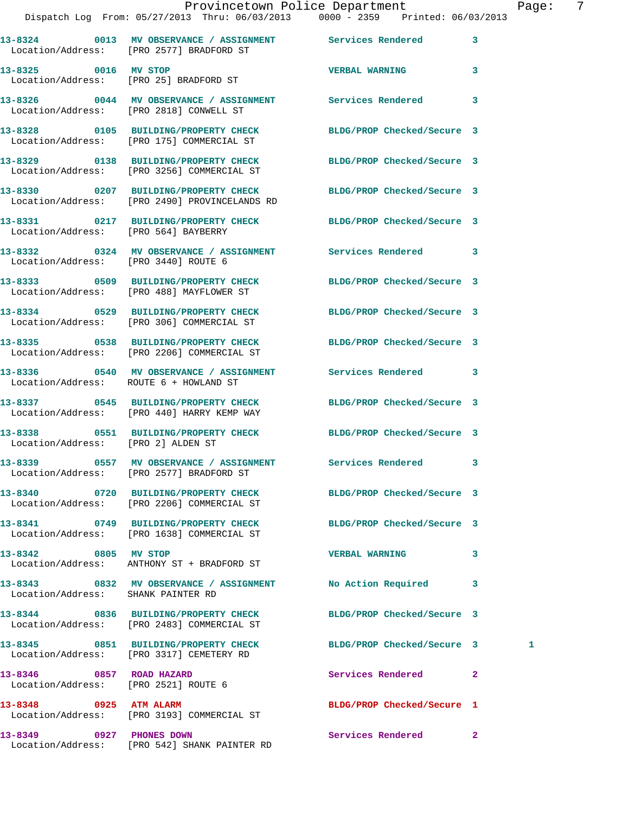|                                        | Provincetown Police Department                                                                                |                            |   |
|----------------------------------------|---------------------------------------------------------------------------------------------------------------|----------------------------|---|
|                                        | Dispatch Log From: 05/27/2013 Thru: 06/03/2013 0000 - 2359 Printed: 06/03/2013                                |                            |   |
|                                        | 13-8324 0013 MV OBSERVANCE / ASSIGNMENT Services Rendered<br>Location/Address: [PRO 2577] BRADFORD ST         |                            | 3 |
| 13-8325 0016 MV STOP                   | Location/Address: [PRO 25] BRADFORD ST                                                                        | <b>VERBAL WARNING</b>      | 3 |
|                                        | 13-8326 0044 MV OBSERVANCE / ASSIGNMENT Services Rendered<br>Location/Address: [PRO 2818] CONWELL ST          | 3                          |   |
|                                        | 13-8328 0105 BUILDING/PROPERTY CHECK<br>Location/Address: [PRO 175] COMMERCIAL ST                             | BLDG/PROP Checked/Secure 3 |   |
|                                        | 13-8329 0138 BUILDING/PROPERTY CHECK BLDG/PROP Checked/Secure 3<br>Location/Address: [PRO 3256] COMMERCIAL ST |                            |   |
|                                        | 13-8330 0207 BUILDING/PROPERTY CHECK<br>Location/Address: [PRO 2490] PROVINCELANDS RD                         | BLDG/PROP Checked/Secure 3 |   |
| Location/Address: [PRO 564] BAYBERRY   | 13-8331 0217 BUILDING/PROPERTY CHECK BLDG/PROP Checked/Secure 3                                               |                            |   |
| Location/Address: [PRO 3440] ROUTE 6   | 13-8332 0324 MV OBSERVANCE / ASSIGNMENT Services Rendered                                                     |                            | 3 |
|                                        | 13-8333 0509 BUILDING/PROPERTY CHECK<br>Location/Address: [PRO 488] MAYFLOWER ST                              | BLDG/PROP Checked/Secure 3 |   |
|                                        | 13-8334 0529 BUILDING/PROPERTY CHECK<br>Location/Address: [PRO 306] COMMERCIAL ST                             | BLDG/PROP Checked/Secure 3 |   |
|                                        | 13-8335 0538 BUILDING/PROPERTY CHECK<br>Location/Address: [PRO 2206] COMMERCIAL ST                            | BLDG/PROP Checked/Secure 3 |   |
| Location/Address: ROUTE 6 + HOWLAND ST | 13-8336 0540 MV OBSERVANCE / ASSIGNMENT Services Rendered 3                                                   |                            |   |
|                                        | 13-8337 0545 BUILDING/PROPERTY CHECK<br>Location/Address: [PRO 440] HARRY KEMP WAY                            | BLDG/PROP Checked/Secure 3 |   |
| Location/Address: [PRO 2] ALDEN ST     | 13-8338 0551 BUILDING/PROPERTY CHECK BLDG/PROP Checked/Secure 3                                               |                            |   |
|                                        | 13-8339 0557 MV OBSERVANCE / ASSIGNMENT<br>Location/Address: [PRO 2577] BRADFORD ST                           | Services Rendered          | 3 |
|                                        | Location/Address: [PRO 2206] COMMERCIAL ST                                                                    | BLDG/PROP Checked/Secure 3 |   |
|                                        | 13-8341 0749 BUILDING/PROPERTY CHECK<br>Location/Address: [PRO 1638] COMMERCIAL ST                            | BLDG/PROP Checked/Secure 3 |   |
| 13-8342 0805 MV STOP                   | Location/Address: ANTHONY ST + BRADFORD ST                                                                    | <b>VERBAL WARNING</b>      | 3 |
| 13-8343                                | 0832 MV OBSERVANCE / ASSIGNMENT                                                                               | No Action Required         | 3 |

Location/Address: SHANK PAINTER RD

Location/Address: [PRO 2483] COMMERCIAL ST

Location/Address: [PRO 3317] CEMETERY RD

Location/Address: [PRO 2521] ROUTE 6

Location/Address: [PRO 3193] COMMERCIAL ST

Location/Address: [PRO 542] SHANK PAINTER RD

**13-8349 0927 PHONES DOWN Services Rendered 2** 

**13-8344 0836 BUILDING/PROPERTY CHECK BLDG/PROP Checked/Secure 3** 

**13-8345 0851 BUILDING/PROPERTY CHECK BLDG/PROP Checked/Secure 3 1** 

**13-8346 0857 ROAD HAZARD Services Rendered 2** 

**13-8348 0925 ATM ALARM BLDG/PROP Checked/Secure 1** 

Page: 7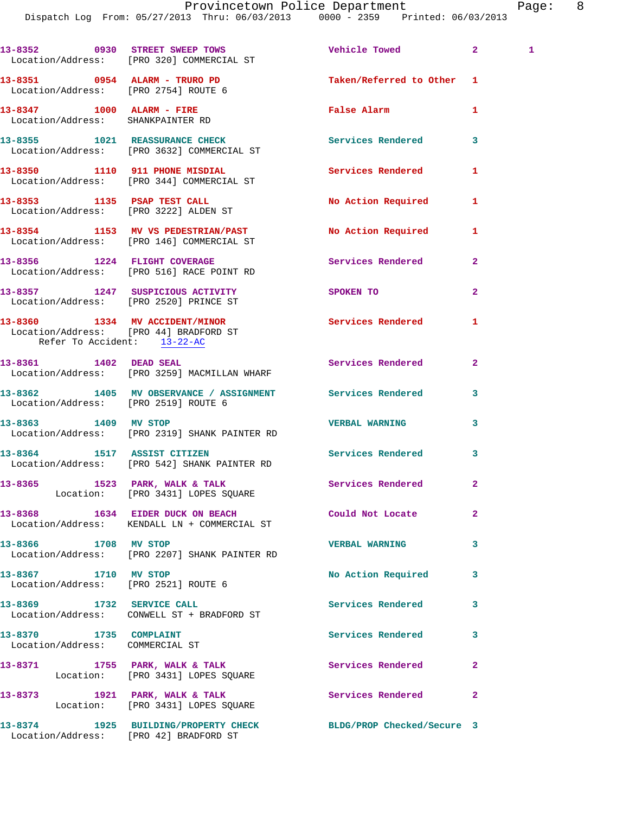Dispatch Log From: 05/27/2013 Thru: 06/03/2013 0000 - 2359 Printed: 06/03/2013

**13-8352 0930 STREET SWEEP TOWS Vehicle Towed 2 1**  Location/Address: [PRO 320] COMMERCIAL ST **13-8351 0954 ALARM - TRURO PD Taken/Referred to Other 1**  Location/Address: [PRO 2754] ROUTE 6 **13-8347 1000 ALARM - FIRE False Alarm 1**  Location/Address: SHANKPAINTER RD **13-8355 1021 REASSURANCE CHECK Services Rendered 3**  Location/Address: [PRO 3632] COMMERCIAL ST **13-8350 1110 911 PHONE MISDIAL Services Rendered 1**  Location/Address: [PRO 344] COMMERCIAL ST 13-8353 1135 PSAP TEST CALL No Action Required 1 Location/Address: [PRO 3222] ALDEN ST **13-8354 1153 MV VS PEDESTRIAN/PAST No Action Required 1**  Location/Address: [PRO 146] COMMERCIAL ST **13-8356 1224 FLIGHT COVERAGE Services Rendered 2**  Location/Address: [PRO 516] RACE POINT RD **13-8357 1247 SUSPICIOUS ACTIVITY SPOKEN TO 2**  Location/Address: [PRO 2520] PRINCE ST **13-8360 1334 MV ACCIDENT/MINOR Services Rendered 1**  Location/Address: [PRO 44] BRADFORD ST Refer To Accident: 13-22-AC **13-8361 1402 DEAD SEAL Services Rendered 2**  Location/Address: [PRO 3259] MACMILLAN WHARF **13-8362 1405 MV OBSERVANCE / ASSIGNMENT Services Rendered 3**  Location/Address: [PRO 2519] ROUTE 6 **13-8363 1409 MV STOP VERBAL WARNING 3**  Location/Address: [PRO 2319] SHANK PAINTER RD **13-8364 1517 ASSIST CITIZEN Services Rendered 3**  Location/Address: [PRO 542] SHANK PAINTER RD 13-8365 1523 PARK, WALK & TALK 1988 Services Rendered 2 Location: [PRO 3431] LOPES SQUARE **13-8368 1634 EIDER DUCK ON BEACH Could Not Locate 2**  Location/Address: KENDALL LN + COMMERCIAL ST **13-8366 1708 MV STOP VERBAL WARNING 3**  Location/Address: [PRO 2207] SHANK PAINTER RD 13-8367 1710 MV STOP **18 CONTROL 13-8367** No Action Required 3 Location/Address: [PRO 2521] ROUTE 6 **13-8369 1732 SERVICE CALL Services Rendered 3**  Location/Address: CONWELL ST + BRADFORD ST 13-8370 1735 COMPLAINT Services Rendered 3 Location/Address: COMMERCIAL ST 13-8371 1755 PARK, WALK & TALK **Services Rendered** 2 Location: [PRO 3431] LOPES SQUARE 13-8373 1921 PARK, WALK & TALK **Services Rendered** 2 Location: [PRO 3431] LOPES SQUARE **13-8374 1925 BUILDING/PROPERTY CHECK BLDG/PROP Checked/Secure 3**  Location/Address: [PRO 42] BRADFORD ST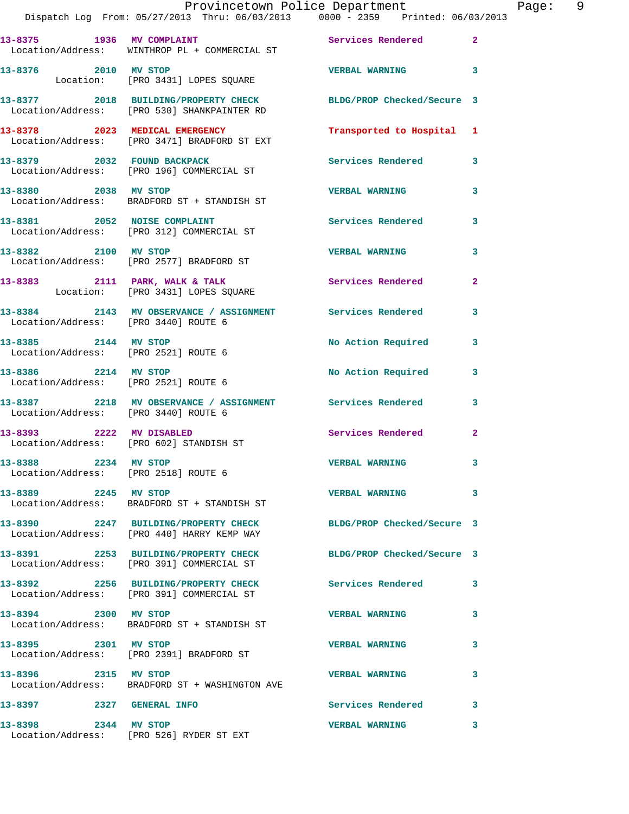|                                                                                |  | Provincetown Police Department |  |  | Paqe: |  |
|--------------------------------------------------------------------------------|--|--------------------------------|--|--|-------|--|
| Dispatch Log From: 05/27/2013 Thru: 06/03/2013 0000 - 2359 Printed: 06/03/2013 |  |                                |  |  |       |  |

| 13-8375 1936 MV COMPLAINT                                    | Location/Address: WINTHROP PL + COMMERCIAL ST                                                                 | Services Rendered 2        |                         |
|--------------------------------------------------------------|---------------------------------------------------------------------------------------------------------------|----------------------------|-------------------------|
| 13-8376 2010 MV STOP                                         | Location: [PRO 3431] LOPES SQUARE                                                                             | <b>VERBAL WARNING</b>      | $\overline{\mathbf{3}}$ |
|                                                              | 13-8377 2018 BUILDING/PROPERTY CHECK<br>Location/Address: [PRO 530] SHANKPAINTER RD                           | BLDG/PROP Checked/Secure 3 |                         |
|                                                              | 13-8378 2023 MEDICAL EMERGENCY<br>Location/Address: [PRO 3471] BRADFORD ST EXT                                | Transported to Hospital 1  |                         |
|                                                              | 13-8379 2032 FOUND BACKPACK<br>Location/Address: [PRO 196] COMMERCIAL ST                                      | Services Rendered 3        |                         |
|                                                              | 13-8380 2038 MV STOP<br>Location/Address: BRADFORD ST + STANDISH ST                                           | <b>VERBAL WARNING</b>      | 3                       |
| 13-8381 2052 NOISE COMPLAINT                                 | Location/Address: [PRO 312] COMMERCIAL ST                                                                     | <b>Services Rendered</b>   | 3                       |
| 13-8382 2100 MV STOP                                         | Location/Address: [PRO 2577] BRADFORD ST                                                                      | <b>VERBAL WARNING</b>      | 3                       |
|                                                              | 13-8383 2111 PARK, WALK & TALK<br>Location: [PRO 3431] LOPES SQUARE                                           | <b>Services Rendered</b>   | $\mathbf{2}$            |
| Location/Address: [PRO 3440] ROUTE 6                         | 13-8384 2143 MV OBSERVANCE / ASSIGNMENT Services Rendered                                                     |                            | 3                       |
| 13-8385 2144 MV STOP<br>Location/Address: [PRO 2521] ROUTE 6 |                                                                                                               | No Action Required         | 3                       |
| 13-8386 2214 MV STOP<br>Location/Address: [PRO 2521] ROUTE 6 |                                                                                                               | No Action Required         | 3                       |
| Location/Address: [PRO 3440] ROUTE 6                         | 13-8387 2218 MV OBSERVANCE / ASSIGNMENT Services Rendered                                                     |                            | 3                       |
| 13-8393 2222 MV DISABLED                                     | Location/Address: [PRO 602] STANDISH ST                                                                       | Services Rendered 2        |                         |
| 13-8388 2234 MV STOP<br>Location/Address: [PRO 2518] ROUTE 6 |                                                                                                               | <b>VERBAL WARNING</b>      | 3                       |
| 13-8389 2245 MV STOP                                         | Location/Address: BRADFORD ST + STANDISH ST                                                                   | <b>VERBAL WARNING</b>      | 3                       |
|                                                              | 13-8390 2247 BUILDING/PROPERTY CHECK BLDG/PROP Checked/Secure 3<br>Location/Address: [PRO 440] HARRY KEMP WAY |                            |                         |
|                                                              | 13-8391 2253 BUILDING/PROPERTY CHECK<br>Location/Address: [PRO 391] COMMERCIAL ST                             | BLDG/PROP Checked/Secure 3 |                         |
|                                                              | 13-8392 2256 BUILDING/PROPERTY CHECK<br>Location/Address: [PRO 391] COMMERCIAL ST                             | <b>Services Rendered</b>   | 3                       |
| 13-8394<br>2300 MV STOP                                      | Location/Address: BRADFORD ST + STANDISH ST                                                                   | <b>VERBAL WARNING</b>      | 3                       |
| 13-8395 2301 MV STOP                                         | Location/Address: [PRO 2391] BRADFORD ST                                                                      | <b>VERBAL WARNING</b>      | 3                       |
| 13-8396 2315 MV STOP                                         | Location/Address: BRADFORD ST + WASHINGTON AVE                                                                | <b>VERBAL WARNING</b>      | 3                       |
| 13-8397 2327 GENERAL INFO                                    |                                                                                                               | <b>Services Rendered</b>   | 3                       |
| 2344 MV STOP<br>13-8398                                      | Location/Address: [PRO 526] RYDER ST EXT                                                                      | <b>VERBAL WARNING</b>      | 3                       |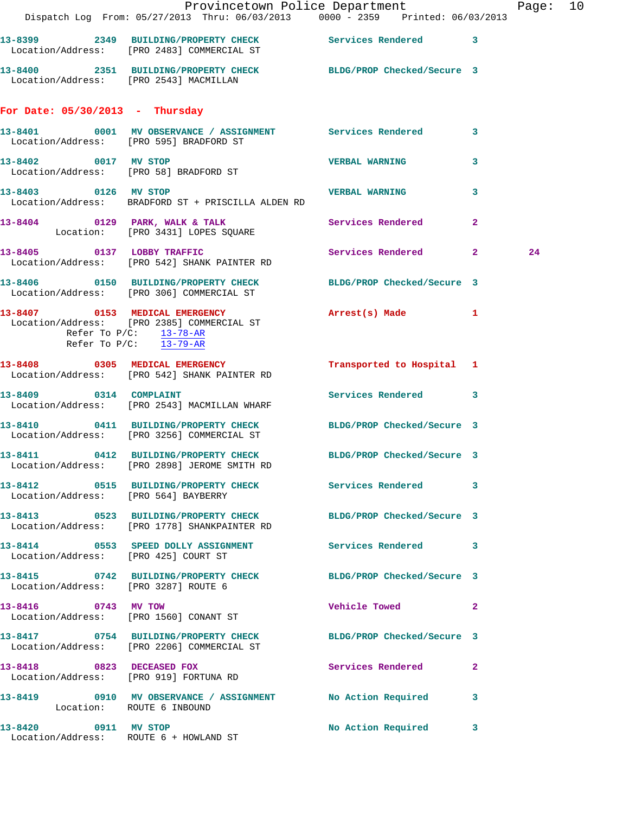|                                         | Dispatch Log From: 05/27/2013 Thru: 06/03/2013 0000 - 2359 Printed: 06/03/2013                                  | Provincetown Police Department |              | Page: 10 |  |
|-----------------------------------------|-----------------------------------------------------------------------------------------------------------------|--------------------------------|--------------|----------|--|
|                                         | 13-8399 2349 BUILDING/PROPERTY CHECK Services Rendered 3<br>Location/Address: [PRO 2483] COMMERCIAL ST          |                                |              |          |  |
| Location/Address: [PRO 2543] MACMILLAN  | 13-8400 2351 BUILDING/PROPERTY CHECK BLDG/PROP Checked/Secure 3                                                 |                                |              |          |  |
| For Date: $05/30/2013$ - Thursday       |                                                                                                                 |                                |              |          |  |
| Location/Address: [PRO 595] BRADFORD ST | 13-8401 0001 MV OBSERVANCE / ASSIGNMENT Services Rendered 3                                                     |                                |              |          |  |
| 13-8402 0017 MV STOP                    | Location/Address: [PRO 58] BRADFORD ST                                                                          | <b>VERBAL WARNING</b>          | 3            |          |  |
| 13-8403 0126 MV STOP                    | Location/Address: BRADFORD ST + PRISCILLA ALDEN RD                                                              | <b>VERBAL WARNING</b>          | 3            |          |  |
|                                         | 13-8404 0129 PARK, WALK & TALK<br>Location: [PRO 3431] LOPES SQUARE                                             | Services Rendered              | $\mathbf{2}$ |          |  |
|                                         | 13-8405 0137 LOBBY TRAFFIC<br>Location/Address: [PRO 542] SHANK PAINTER RD                                      | Services Rendered 2            |              | 24       |  |
|                                         | 13-8406  0150 BUILDING/PROPERTY CHECK BLDG/PROP Checked/Secure 3<br>Location/Address: [PRO 306] COMMERCIAL ST   |                                |              |          |  |
| Refer To $P/C:$ $\frac{13-78-AR}{1}$    | 13-8407 0153 MEDICAL EMERGENCY<br>Location/Address: [PRO 2385] COMMERCIAL ST<br>Refer To P/C: 13-79-AR          | Arrest(s) Made 1               |              |          |  |
|                                         | 13-8408 0305 MEDICAL EMERGENCY<br>Location/Address: [PRO 542] SHANK PAINTER RD                                  | Transported to Hospital 1      |              |          |  |
|                                         | 13-8409 0314 COMPLAINT<br>Location/Address: [PRO 2543] MACMILLAN WHARF                                          | Services Rendered 3            |              |          |  |
|                                         | 13-8410 0411 BUILDING/PROPERTY CHECK<br>Location/Address: [PRO 3256] COMMERCIAL ST                              | BLDG/PROP Checked/Secure 3     |              |          |  |
|                                         | 13-8411 0412 BUILDING/PROPERTY CHECK BLDG/PROP Checked/Secure 3<br>Location/Address: [PRO 2898] JEROME SMITH RD |                                |              |          |  |
| Location/Address: [PRO 564] BAYBERRY    | 13-8412 0515 BUILDING/PROPERTY CHECK Services Rendered 3                                                        |                                |              |          |  |
|                                         | 13-8413 0523 BUILDING/PROPERTY CHECK BLDG/PROP Checked/Secure 3<br>Location/Address: [PRO 1778] SHANKPAINTER RD |                                |              |          |  |
| Location/Address: [PRO 425] COURT ST    | 13-8414 0553 SPEED DOLLY ASSIGNMENT Services Rendered 3                                                         |                                |              |          |  |
| Location/Address: [PRO 3287] ROUTE 6    | 13-8415 0742 BUILDING/PROPERTY CHECK BLDG/PROP Checked/Secure 3                                                 |                                |              |          |  |
| 13-8416 0743 MV TOW                     | Location/Address: [PRO 1560] CONANT ST                                                                          | Vehicle Towed 2                |              |          |  |
|                                         | 13-8417 0754 BUILDING/PROPERTY CHECK BLDG/PROP Checked/Secure 3<br>Location/Address: [PRO 2206] COMMERCIAL ST   |                                |              |          |  |
| 13-8418 0823 DECEASED FOX               | Location/Address: [PRO 919] FORTUNA RD                                                                          | Services Rendered 2            |              |          |  |
| Location: ROUTE 6 INBOUND               | 13-8419 0910 MV OBSERVANCE / ASSIGNMENT No Action Required 3                                                    |                                |              |          |  |
| 13-8420 0911 MV STOP                    | Location/Address: ROUTE 6 + HOWLAND ST                                                                          | No Action Required 3           |              |          |  |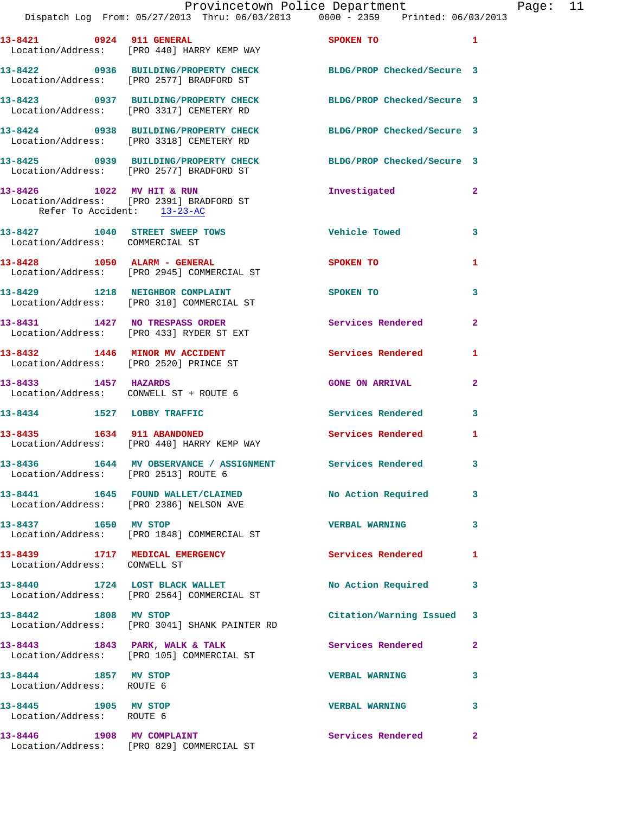|                                                                | Dispatch Log From: 05/27/2013 Thru: 06/03/2013 0000 - 2359 Printed: 06/03/2013                              | Provincetown Police Department | Page: 11       |
|----------------------------------------------------------------|-------------------------------------------------------------------------------------------------------------|--------------------------------|----------------|
|                                                                |                                                                                                             |                                |                |
|                                                                | 13-8421 0924 911 GENERAL<br>Location/Address: [PRO 440] HARRY KEMP WAY                                      | SPOKEN TO                      | $\mathbf{1}$   |
|                                                                | 13-8422 0936 BUILDING/PROPERTY CHECK BLDG/PROP Checked/Secure 3<br>Location/Address: [PRO 2577] BRADFORD ST |                                |                |
|                                                                | 13-8423 0937 BUILDING/PROPERTY CHECK BLDG/PROP Checked/Secure 3<br>Location/Address: [PRO 3317] CEMETERY RD |                                |                |
|                                                                | 13-8424 0938 BUILDING/PROPERTY CHECK BLDG/PROP Checked/Secure 3<br>Location/Address: [PRO 3318] CEMETERY RD |                                |                |
|                                                                | 13-8425 0939 BUILDING/PROPERTY CHECK<br>Location/Address: [PRO 2577] BRADFORD ST                            | BLDG/PROP Checked/Secure 3     |                |
| Refer To Accident: 13-23-AC                                    | 13-8426 1022 MV HIT & RUN<br>Location/Address: [PRO 2391] BRADFORD ST                                       | Investigated                   | $\overline{a}$ |
| Location/Address: COMMERCIAL ST                                | 13-8427 1040 STREET SWEEP TOWS THE Vehicle Towed                                                            |                                | 3              |
|                                                                | 13-8428 1050 ALARM - GENERAL<br>Location/Address: [PRO 2945] COMMERCIAL ST                                  | <b>SPOKEN TO</b>               | 1              |
|                                                                | 13-8429 1218 NEIGHBOR COMPLAINT SPOKEN TO<br>Location/Address: [PRO 310] COMMERCIAL ST                      |                                | 3              |
|                                                                | 13-8431 1427 NO TRESPASS ORDER<br>Location/Address: [PRO 433] RYDER ST EXT                                  | Services Rendered              | $\mathbf{2}$   |
|                                                                | 13-8432 1446 MINOR MV ACCIDENT<br>Location/Address: [PRO 2520] PRINCE ST                                    | Services Rendered              | 1              |
| 13-8433 1457 HAZARDS<br>Location/Address: CONWELL ST + ROUTE 6 |                                                                                                             | <b>GONE ON ARRIVAL</b>         | $\mathbf{2}$   |
| 13-8434 1527 LOBBY TRAFFIC                                     |                                                                                                             | <b>Services Rendered</b>       | 3              |
|                                                                | 13-8435 1634 911 ABANDONED<br>Location/Address: [PRO 440] HARRY KEMP WAY                                    | <b>Services Rendered</b>       | 1              |
| Location/Address: [PRO 2513] ROUTE 6                           | 13-8436 1644 MV OBSERVANCE / ASSIGNMENT                                                                     | Services Rendered              | 3              |
|                                                                | 13-8441 1645 FOUND WALLET/CLAIMED No Action Required<br>Location/Address: [PRO 2386] NELSON AVE             |                                | 3              |
| 13-8437 1650 MV STOP                                           | Location/Address: [PRO 1848] COMMERCIAL ST                                                                  | <b>VERBAL WARNING</b>          | 3              |
| Location/Address: CONWELL ST                                   | 13-8439 1717 MEDICAL EMERGENCY                                                                              | <b>Services Rendered</b>       | 1              |
|                                                                | 13-8440 1724 LOST BLACK WALLET<br>Location/Address: [PRO 2564] COMMERCIAL ST                                | No Action Required             | 3              |
|                                                                | 13-8442 1808 MV STOP<br>Location/Address: [PRO 3041] SHANK PAINTER RD                                       | Citation/Warning Issued 3      |                |
|                                                                | 13-8443 1843 PARK, WALK & TALK<br>Location/Address: [PRO 105] COMMERCIAL ST                                 | Services Rendered              | $\mathbf{2}$   |
| 13-8444 1857 MV STOP<br>Location/Address: ROUTE 6              |                                                                                                             | <b>VERBAL WARNING</b>          | 3              |
| 13-8445 1905 MV STOP<br>Location/Address: ROUTE 6              |                                                                                                             | <b>VERBAL WARNING</b>          | 3              |
|                                                                | 13-8446 1908 MV COMPLAINT<br>Location/Address: [PRO 829] COMMERCIAL ST                                      | Services Rendered              | 2              |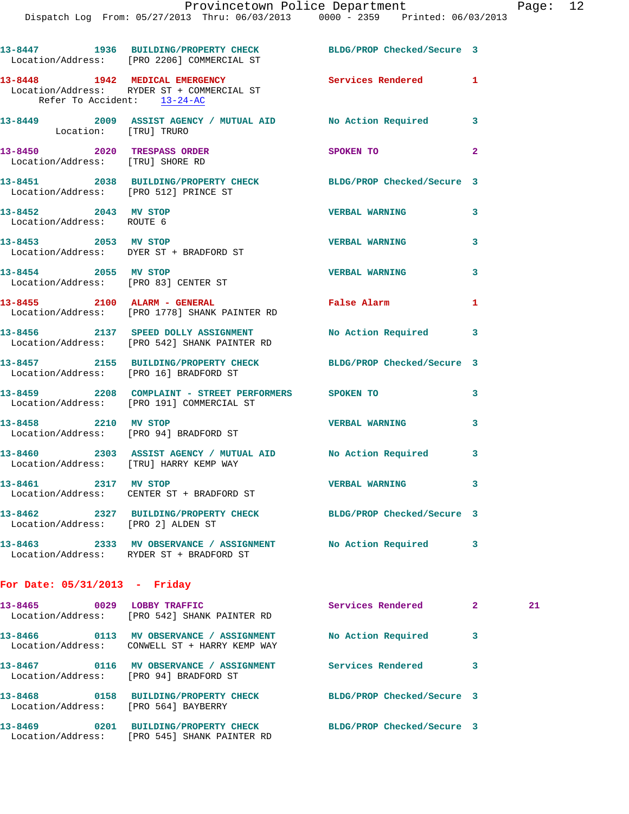|                                                                 | 13-8447 1936 BUILDING/PROPERTY CHECK BLDG/PROP Checked/Secure 3<br>Location/Address: [PRO 2206] COMMERCIAL ST   |                            |                |    |
|-----------------------------------------------------------------|-----------------------------------------------------------------------------------------------------------------|----------------------------|----------------|----|
| Refer To Accident: 13-24-AC                                     | 13-8448 1942 MEDICAL EMERGENCY<br>Location/Address: RYDER ST + COMMERCIAL ST                                    | Services Rendered 1        |                |    |
| Location: [TRU] TRURO                                           | 13-8449 2009 ASSIST AGENCY / MUTUAL AID No Action Required 3                                                    |                            |                |    |
| 13-8450 2020 TRESPASS ORDER<br>Location/Address: [TRU] SHORE RD |                                                                                                                 | <b>SPOKEN TO</b>           | $\overline{2}$ |    |
| Location/Address: [PRO 512] PRINCE ST                           | 13-8451 2038 BUILDING/PROPERTY CHECK BLDG/PROP Checked/Secure 3                                                 |                            |                |    |
| 13-8452 2043 MV STOP<br>Location/Address: ROUTE 6               |                                                                                                                 | VERBAL WARNING 3           |                |    |
|                                                                 | 13-8453 2053 MV STOP<br>Location/Address: DYER ST + BRADFORD ST                                                 | <b>VERBAL WARNING</b>      | 3              |    |
| 13-8454 2055 MV STOP                                            | Location/Address: [PRO 83] CENTER ST                                                                            | <b>VERBAL WARNING</b>      | 3              |    |
|                                                                 | 13-8455 2100 ALARM - GENERAL<br>Location/Address: [PRO 1778] SHANK PAINTER RD                                   | False Alarm                | 1              |    |
|                                                                 | 13-8456 2137 SPEED DOLLY ASSIGNMENT No Action Required 3<br>Location/Address: [PRO 542] SHANK PAINTER RD        |                            |                |    |
|                                                                 | 13-8457 2155 BUILDING/PROPERTY CHECK BLDG/PROP Checked/Secure 3<br>Location/Address: [PRO 16] BRADFORD ST       |                            |                |    |
|                                                                 | 13-8459 2208 COMPLAINT - STREET PERFORMERS SPOKEN TO<br>Location/Address: [PRO 191] COMMERCIAL ST               |                            | 3              |    |
| 13-8458 2210 MV STOP                                            | Location/Address: [PRO 94] BRADFORD ST                                                                          | <b>VERBAL WARNING</b>      | 3              |    |
| Location/Address: [TRU] HARRY KEMP WAY                          | 13-8460 2303 ASSIST AGENCY / MUTUAL AID No Action Required                                                      |                            | 3              |    |
| 13-8461 2317 MV STOP                                            | Location/Address: CENTER ST + BRADFORD ST                                                                       | <b>VERBAL WARNING</b> 3    |                |    |
| Location/Address: [PRO 2] ALDEN ST                              | 13-8462 2327 BUILDING/PROPERTY CHECK BLDG/PROP Checked/Secure 3                                                 |                            |                |    |
|                                                                 | 13-8463 2333 MV OBSERVANCE / ASSIGNMENT No Action Required<br>Location/Address: RYDER ST + BRADFORD ST          |                            | 3              |    |
| For Date: $05/31/2013$ - Friday                                 |                                                                                                                 |                            |                |    |
|                                                                 | 13-8465 0029 LOBBY TRAFFIC<br>Location/Address: [PRO 542] SHANK PAINTER RD                                      | Services Rendered          | $\mathbf{2}$   | 21 |
|                                                                 | 13-8466   0113 MV OBSERVANCE / ASSIGNMENT   No Action Required<br>Location/Address: CONWELL ST + HARRY KEMP WAY |                            | 3              |    |
| Location/Address: [PRO 94] BRADFORD ST                          |                                                                                                                 |                            | 3              |    |
| 13-8468                                                         | 0158 BUILDING/PROPERTY CHECK                                                                                    | BLDG/PROP Checked/Secure 3 |                |    |

Location/Address: [PRO 564] BAYBERRY

**13-8469 0201 BUILDING/PROPERTY CHECK BLDG/PROP Checked/Secure 3**  Location/Address: [PRO 545] SHANK PAINTER RD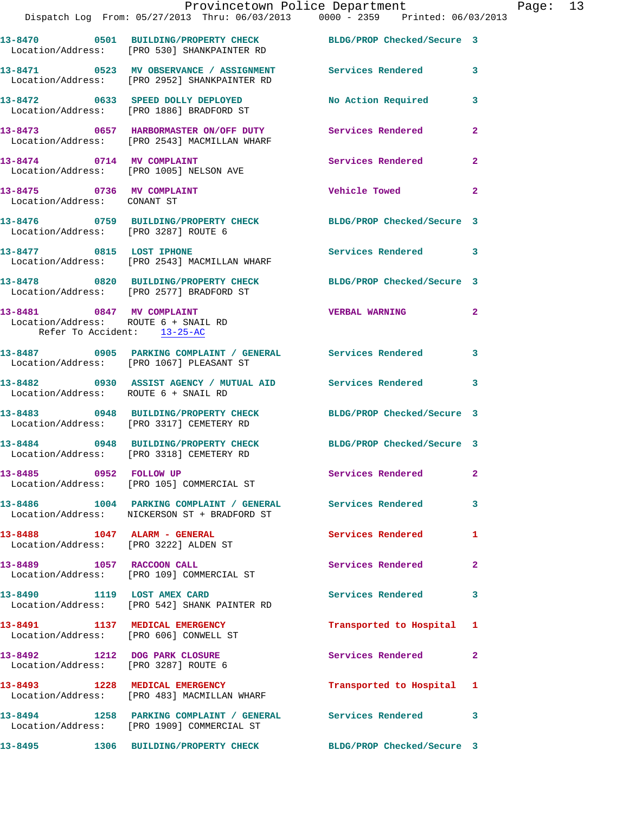|                                                                                                  | Provincetown Police Department<br>Dispatch Log From: 05/27/2013 Thru: 06/03/2013   0000 - 2359   Printed: 06/03/2013 |                           |                |
|--------------------------------------------------------------------------------------------------|----------------------------------------------------------------------------------------------------------------------|---------------------------|----------------|
|                                                                                                  | 13-8470 0501 BUILDING/PROPERTY CHECK BLDG/PROP Checked/Secure 3<br>Location/Address: [PRO 530] SHANKPAINTER RD       |                           |                |
|                                                                                                  | 13-8471 0523 MV OBSERVANCE / ASSIGNMENT Services Rendered<br>Location/Address: [PRO 2952] SHANKPAINTER RD            |                           | 3              |
|                                                                                                  | 13-8472 0633 SPEED DOLLY DEPLOYED<br>Location/Address: [PRO 1886] BRADFORD ST                                        | <b>No Action Required</b> | 3              |
|                                                                                                  | 13-8473 0657 HARBORMASTER ON/OFF DUTY Services Rendered<br>Location/Address: [PRO 2543] MACMILLAN WHARF              |                           | $\overline{a}$ |
| Location/Address: [PRO 1005] NELSON AVE                                                          | 13-8474 0714 MV COMPLAINT                                                                                            | Services Rendered         | $\overline{a}$ |
| 13-8475 0736 MV COMPLAINT<br>Location/Address: CONANT ST                                         |                                                                                                                      | Vehicle Towed             | $\overline{a}$ |
| Location/Address: [PRO 3287] ROUTE 6                                                             | 13-8476 0759 BUILDING/PROPERTY CHECK BLDG/PROP Checked/Secure 3                                                      |                           |                |
| 13-8477 0815 LOST IPHONE                                                                         | Location/Address: [PRO 2543] MACMILLAN WHARF                                                                         | Services Rendered         | 3              |
|                                                                                                  | 13-8478 0820 BUILDING/PROPERTY CHECK BLDG/PROP Checked/Secure 3<br>Location/Address: [PRO 2577] BRADFORD ST          |                           |                |
| 13-8481 0847 MV COMPLAINT<br>Location/Address: ROUTE 6 + SNAIL RD<br>Refer To Accident: 13-25-AC |                                                                                                                      | <b>VERBAL WARNING</b>     | $\overline{2}$ |
|                                                                                                  | Location/Address: [PRO 1067] PLEASANT ST                                                                             |                           | 3              |
| Location/Address: ROUTE 6 + SNAIL RD                                                             |                                                                                                                      |                           | 3              |
|                                                                                                  | 13-8483 0948 BUILDING/PROPERTY CHECK BLDG/PROP Checked/Secure 3<br>Location/Address: [PRO 3317] CEMETERY RD          |                           |                |
|                                                                                                  | 13-8484 0948 BUILDING/PROPERTY CHECK BLDG/PROP Checked/Secure 3<br>Location/Address: [PRO 3318] CEMETERY RD          |                           |                |
| 13-8485 0952 FOLLOW UP                                                                           | Location/Address: [PRO 105] COMMERCIAL ST                                                                            | Services Rendered         | 2              |
|                                                                                                  | 13-8486 1004 PARKING COMPLAINT / GENERAL Services Rendered<br>Location/Address: NICKERSON ST + BRADFORD ST           |                           | 3              |
| $13-8488$ 1047 ALARM - GENERAL<br>Location/Address: [PRO 3222] ALDEN ST                          |                                                                                                                      | Services Rendered         | 1              |
| 13-8489 1057 RACCOON CALL                                                                        | Location/Address: [PRO 109] COMMERCIAL ST                                                                            | Services Rendered         | 2              |
|                                                                                                  | 13-8490 1119 LOST AMEX CARD<br>Location/Address: [PRO 542] SHANK PAINTER RD                                          | <b>Services Rendered</b>  | 3              |
| 13-8491 1137 MEDICAL EMERGENCY<br>Location/Address: [PRO 606] CONWELL ST                         |                                                                                                                      | Transported to Hospital   | 1              |
| 13-8492 1212 DOG PARK CLOSURE<br>Location/Address: [PRO 3287] ROUTE 6                            |                                                                                                                      | Services Rendered         | $\mathbf{2}$   |
|                                                                                                  | 13-8493 1228 MEDICAL EMERGENCY<br>Location/Address: [PRO 483] MACMILLAN WHARF                                        | Transported to Hospital   | 1              |
|                                                                                                  | 13-8494 1258 PARKING COMPLAINT / GENERAL Services Rendered<br>Location/Address: [PRO 1909] COMMERCIAL ST             |                           | 3              |

**13-8495 1306 BUILDING/PROPERTY CHECK BLDG/PROP Checked/Secure 3** 

Page:  $13$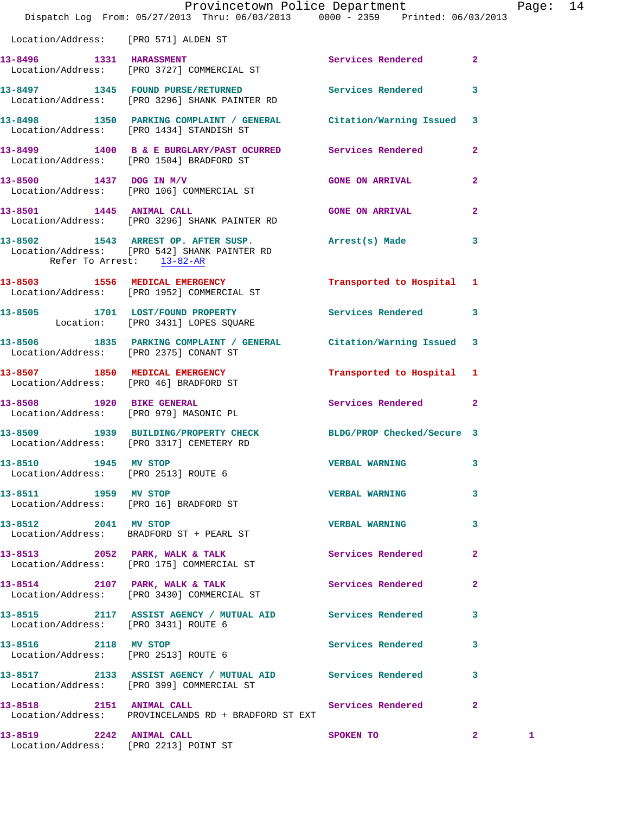|                                                              | Provincetown Police Department<br>Dispatch Log From: 05/27/2013 Thru: 06/03/2013 0000 - 2359 Printed: 06/03/2013 |                           |                         | Page: 14 |  |
|--------------------------------------------------------------|------------------------------------------------------------------------------------------------------------------|---------------------------|-------------------------|----------|--|
| Location/Address: [PRO 571] ALDEN ST                         |                                                                                                                  |                           |                         |          |  |
|                                                              | 13-8496 1331 HARASSMENT<br>Location/Address: [PRO 3727] COMMERCIAL ST                                            | Services Rendered 2       |                         |          |  |
|                                                              | 13-8497 1345 FOUND PURSE/RETURNED Services Rendered 3<br>Location/Address: [PRO 3296] SHANK PAINTER RD           |                           |                         |          |  |
|                                                              | 13-8498 1350 PARKING COMPLAINT / GENERAL Citation/Warning Issued 3<br>Location/Address: [PRO 1434] STANDISH ST   |                           |                         |          |  |
|                                                              | 13-8499 1400 B & E BURGLARY/PAST OCURRED Services Rendered 2<br>Location/Address: [PRO 1504] BRADFORD ST         |                           |                         |          |  |
|                                                              | 13-8500 1437 DOG IN M/V<br>Location/Address: [PRO 106] COMMERCIAL ST                                             | <b>GONE ON ARRIVAL</b>    | $\mathbf{2}$            |          |  |
|                                                              | 13-8501 1445 ANIMAL CALL<br>Location/Address: [PRO 3296] SHANK PAINTER RD                                        | <b>GONE ON ARRIVAL</b>    | $\mathbf{2}$            |          |  |
| Refer To Arrest: 13-82-AR                                    | 13-8502 1543 ARREST OP. AFTER SUSP. (arrest(s) Made<br>Location/Address: [PRO 542] SHANK PAINTER RD              |                           | $\mathbf{3}$            |          |  |
|                                                              | 13-8503 1556 MEDICAL EMERGENCY<br>Location/Address: [PRO 1952] COMMERCIAL ST                                     | Transported to Hospital 1 |                         |          |  |
|                                                              | 13-8505 1701 LOST/FOUND PROPERTY Services Rendered 3<br>Location: [PRO 3431] LOPES SQUARE                        |                           |                         |          |  |
|                                                              | 13-8506 1835 PARKING COMPLAINT / GENERAL Citation/Warning Issued 3<br>Location/Address: [PRO 2375] CONANT ST     |                           |                         |          |  |
|                                                              | 13-8507 1850 MEDICAL EMERGENCY<br>Location/Address: [PRO 46] BRADFORD ST                                         | Transported to Hospital 1 |                         |          |  |
|                                                              | 13-8508 1920 BIKE GENERAL<br>Location/Address: [PRO 979] MASONIC PL                                              | Services Rendered 2       |                         |          |  |
|                                                              | 13-8509 1939 BUILDING/PROPERTY CHECK BLDG/PROP Checked/Secure 3<br>Location/Address: [PRO 3317] CEMETERY RD      |                           |                         |          |  |
| 13-8510 1945 MV STOP<br>Location/Address: [PRO 2513] ROUTE 6 |                                                                                                                  | <b>VERBAL WARNING</b>     | 3                       |          |  |
| 13-8511 1959 MV STOP                                         | Location/Address: [PRO 16] BRADFORD ST                                                                           | <b>VERBAL WARNING</b>     | 3                       |          |  |
| 13-8512 2041 MV STOP                                         | Location/Address: BRADFORD ST + PEARL ST                                                                         | <b>VERBAL WARNING</b>     | $\mathbf{3}$            |          |  |
|                                                              | 13-8513 2052 PARK, WALK & TALK<br>Location/Address: [PRO 175] COMMERCIAL ST                                      | Services Rendered 2       |                         |          |  |
|                                                              | 13-8514 2107 PARK, WALK & TALK<br>Location/Address: [PRO 3430] COMMERCIAL ST                                     | Services Rendered         | $\mathbf{2}$            |          |  |
| Location/Address: [PRO 3431] ROUTE 6                         | 13-8515 2117 ASSIST AGENCY / MUTUAL AID Services Rendered 3                                                      |                           |                         |          |  |
| 13-8516 2118 MV STOP<br>Location/Address: [PRO 2513] ROUTE 6 |                                                                                                                  | Services Rendered         | $\mathbf{3}$            |          |  |
|                                                              | 13-8517 2133 ASSIST AGENCY / MUTUAL AID Services Rendered 3<br>Location/Address: [PRO 399] COMMERCIAL ST         |                           |                         |          |  |
|                                                              | 13-8518 2151 ANIMAL CALL<br>Location/Address: PROVINCELANDS RD + BRADFORD ST EXT                                 | Services Rendered 2       |                         |          |  |
| 13-8519 2242 ANIMAL CALL                                     |                                                                                                                  | SPOKEN TO                 | $\overline{\mathbf{2}}$ |          |  |

Location/Address: [PRO 2213] POINT ST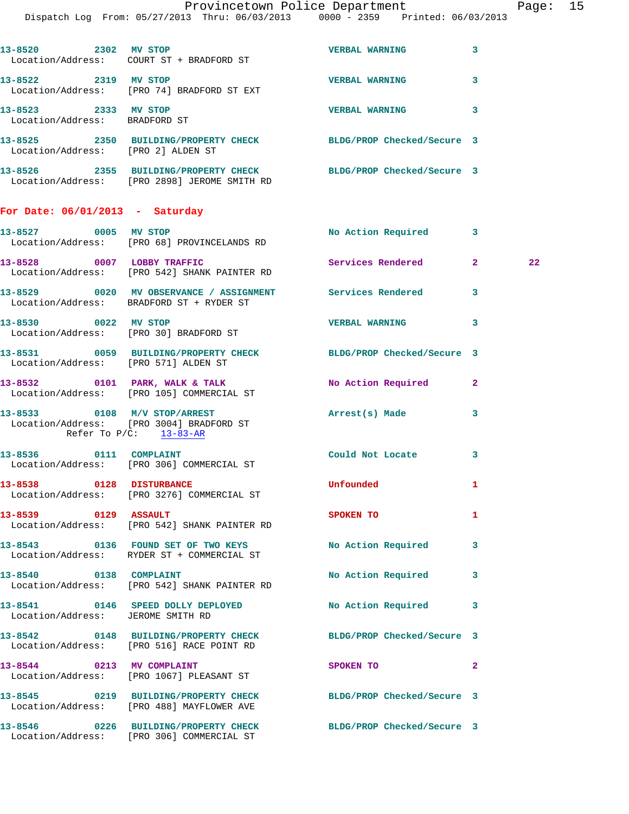Dispatch Log From: 05/27/2013 Thru: 06/03/2013 0000 - 2359 Printed: 06/03/2013

| 13-8520 2302 MV STOP                                           |                                                                                                                                                                                                                              | <b>VERBAL WARNING</b> | 3                       |
|----------------------------------------------------------------|------------------------------------------------------------------------------------------------------------------------------------------------------------------------------------------------------------------------------|-----------------------|-------------------------|
| 13-8522 2319 MV STOP                                           | Location/Address: [PRO 74] BRADFORD ST EXT                                                                                                                                                                                   | <b>VERBAL WARNING</b> | 3                       |
| 13-8523 2333 MV STOP<br>Location/Address: BRADFORD ST          |                                                                                                                                                                                                                              | <b>VERBAL WARNING</b> | 3                       |
| Location/Address: [PRO 2] ALDEN ST                             | 13-8525 2350 BUILDING/PROPERTY CHECK BLDG/PROP Checked/Secure 3                                                                                                                                                              |                       |                         |
|                                                                | 13-8526 2355 BUILDING/PROPERTY CHECK BLDG/PROP Checked/Secure 3<br>Location/Address: [PRO 2898] JEROME SMITH RD                                                                                                              |                       |                         |
| For Date: $06/01/2013$ - Saturday                              |                                                                                                                                                                                                                              |                       |                         |
| 13-8527 0005 MV STOP                                           | Location/Address: [PRO 68] PROVINCELANDS RD                                                                                                                                                                                  | No Action Required    | 3                       |
|                                                                | $13-8528$ 0007 LOBBY TRAFFIC<br>Location/Address: [PRO 542] SHANK PAINTER RD                                                                                                                                                 | Services Rendered     | $\overline{2}$          |
|                                                                | 13-8529 0020 MV OBSERVANCE / ASSIGNMENT Services Rendered<br>Location/Address: BRADFORD ST + RYDER ST                                                                                                                        |                       | $\overline{\mathbf{3}}$ |
| 13-8530 0022 MV STOP<br>Location/Address: [PRO 30] BRADFORD ST |                                                                                                                                                                                                                              | <b>VERBAL WARNING</b> | 3                       |
|                                                                | $12.0521$ $0.050$ $0.050$ $0.01$ $0.000$ $0.0000$ $0.0000$ $0.0000$ $0.0000$ $0.0000$ $0.0000$ $0.0000$ $0.0000$ $0.0000$ $0.0000$ $0.0000$ $0.0000$ $0.0000$ $0.0000$ $0.0000$ $0.0000$ $0.0000$ $0.0000$ $0.0000$ $0.0000$ | $P_{\text{L}}$        |                         |

|                                   | Location/Address: [PRO 68] PROVINCELANDS RD                                                                  |                            |                |                 |
|-----------------------------------|--------------------------------------------------------------------------------------------------------------|----------------------------|----------------|-----------------|
|                                   | 13-8528 0007 LOBBY TRAFFIC<br>Location/Address: [PRO 542] SHANK PAINTER RD                                   | Services Rendered 2        |                | 22 <sub>1</sub> |
|                                   | 13-8529 0020 MV OBSERVANCE / ASSIGNMENT Services Rendered 3<br>Location/Address: BRADFORD ST + RYDER ST      |                            |                |                 |
| 13-8530 0022 MV STOP              | Location/Address: [PRO 30] BRADFORD ST                                                                       | VERBAL WARNING 3           |                |                 |
|                                   | 13-8531 0059 BUILDING/PROPERTY CHECK BLDG/PROP Checked/Secure 3<br>Location/Address: [PRO 571] ALDEN ST      |                            |                |                 |
|                                   | 13-8532 0101 PARK, WALK & TALK<br>Location/Address: [PRO 105] COMMERCIAL ST                                  | No Action Required 2       |                |                 |
|                                   | 13-8533 0108 M/V STOP/ARREST<br>Location/Address: [PRO 3004] BRADFORD ST<br>Refer To $P/C$ : 13-83-AR        | Arrest(s) Made             | 3              |                 |
|                                   | 13-8536 0111 COMPLAINT<br>Location/Address: [PRO 306] COMMERCIAL ST                                          | Could Not Locate           | $\mathbf{3}$   |                 |
| 13-8538 0128 DISTURBANCE          | Location/Address: [PRO 3276] COMMERCIAL ST                                                                   | Unfounded                  | 1              |                 |
|                                   | 13-8539      0129   ASSAULT<br>Location/Address:   [PRO 542] SHANK PAINTER RD                                | <b>SPOKEN TO</b>           | 1              |                 |
|                                   | 13-8543 0136 FOUND SET OF TWO KEYS No Action Required 3<br>Location/Address: RYDER ST + COMMERCIAL ST        |                            |                |                 |
| 13-8540 0138 COMPLAINT            | Location/Address: [PRO 542] SHANK PAINTER RD                                                                 | No Action Required 3       |                |                 |
| Location/Address: JEROME SMITH RD | 13-8541 0146 SPEED DOLLY DEPLOYED                                                                            | No Action Required 3       |                |                 |
|                                   | 13-8542 0148 BUILDING/PROPERTY CHECK BLDG/PROP Checked/Secure 3<br>Location/Address: [PRO 516] RACE POINT RD |                            |                |                 |
|                                   | 13-8544 0213 MV COMPLAINT<br>Location/Address: [PRO 1067] PLEASANT ST                                        | SPOKEN TO                  | $\overline{2}$ |                 |
|                                   | 13-8545 0219 BUILDING/PROPERTY CHECK BLDG/PROP Checked/Secure 3<br>Location/Address: [PRO 488] MAYFLOWER AVE |                            |                |                 |
|                                   | 13-8546 0226 BUILDING/PROPERTY CHECK                                                                         | BLDG/PROP Checked/Secure 3 |                |                 |

Location/Address: [PRO 306] COMMERCIAL ST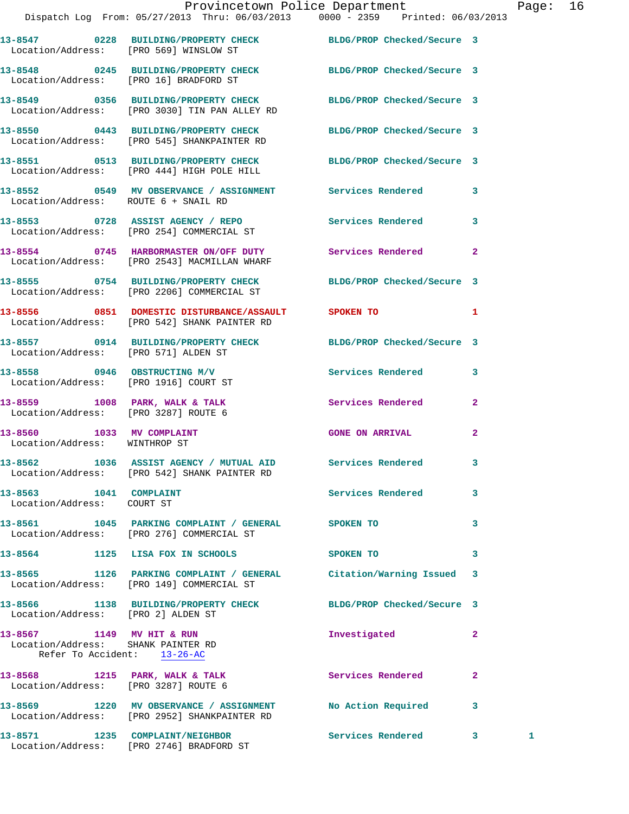|                                                                                                | Provincetown Police Department Page: 16                                                                          |                          |                         |  |
|------------------------------------------------------------------------------------------------|------------------------------------------------------------------------------------------------------------------|--------------------------|-------------------------|--|
|                                                                                                | Dispatch Log From: 05/27/2013 Thru: 06/03/2013 0000 - 2359 Printed: 06/03/2013                                   |                          |                         |  |
|                                                                                                | 13-8547 0228 BUILDING/PROPERTY CHECK BLDG/PROP Checked/Secure 3<br>Location/Address: [PRO 569] WINSLOW ST        |                          |                         |  |
|                                                                                                | 13-8548 0245 BUILDING/PROPERTY CHECK BLDG/PROP Checked/Secure 3<br>Location/Address: [PRO 16] BRADFORD ST        |                          |                         |  |
|                                                                                                | 13-8549 0356 BUILDING/PROPERTY CHECK BLDG/PROP Checked/Secure 3<br>Location/Address: [PRO 3030] TIN PAN ALLEY RD |                          |                         |  |
|                                                                                                | 13-8550 0443 BUILDING/PROPERTY CHECK BLDG/PROP Checked/Secure 3<br>Location/Address: [PRO 545] SHANKPAINTER RD   |                          |                         |  |
|                                                                                                | 13-8551 0513 BUILDING/PROPERTY CHECK BLDG/PROP Checked/Secure 3<br>Location/Address: [PRO 444] HIGH POLE HILL    |                          |                         |  |
| Location/Address: ROUTE 6 + SNAIL RD                                                           | 13-8552 0549 MV OBSERVANCE / ASSIGNMENT Services Rendered 3                                                      |                          |                         |  |
|                                                                                                | 13-8553 0728 ASSIST AGENCY / REPO Services Rendered 3<br>Location/Address: [PRO 254] COMMERCIAL ST               |                          |                         |  |
|                                                                                                | 13-8554 0745 HARBORMASTER ON/OFF DUTY Services Rendered 2<br>Location/Address: [PRO 2543] MACMILLAN WHARF        |                          |                         |  |
|                                                                                                | 13-8555 0754 BUILDING/PROPERTY CHECK BLDG/PROP Checked/Secure 3<br>Location/Address: [PRO 2206] COMMERCIAL ST    |                          |                         |  |
|                                                                                                | 13-8556 0851 DOMESTIC DISTURBANCE/ASSAULT SPOKEN TO 1<br>Location/Address: [PRO 542] SHANK PAINTER RD            |                          |                         |  |
| Location/Address: [PRO 571] ALDEN ST                                                           | 13-8557 0914 BUILDING/PROPERTY CHECK BLDG/PROP Checked/Secure 3                                                  |                          |                         |  |
| Location/Address: [PRO 1916] COURT ST                                                          | 13-8558 0946 OBSTRUCTING M/V                                                                                     | Services Rendered 3      |                         |  |
| Location/Address: [PRO 3287] ROUTE 6                                                           | 13-8559 1008 PARK, WALK & TALK Services Rendered 2                                                               |                          |                         |  |
| 13-8560 1033 MV COMPLAINT<br>Location/Address: WINTHROP ST                                     |                                                                                                                  | <b>GONE ON ARRIVAL</b>   | $\mathbf{2}$            |  |
|                                                                                                | 13-8562 1036 ASSIST AGENCY / MUTUAL AID Services Rendered<br>Location/Address: [PRO 542] SHANK PAINTER RD        |                          | $\overline{\mathbf{3}}$ |  |
| 13-8563 1041 COMPLAINT<br>Location/Address: COURT ST                                           |                                                                                                                  | Services Rendered        | $\mathbf{3}$            |  |
|                                                                                                | 13-8561 1045 PARKING COMPLAINT / GENERAL SPOKEN TO<br>Location/Address: [PRO 276] COMMERCIAL ST                  |                          | 3                       |  |
|                                                                                                | 13-8564 1125 LISA FOX IN SCHOOLS                                                                                 | SPOKEN TO                | $\mathbf{3}$            |  |
|                                                                                                | 13-8565 1126 PARKING COMPLAINT / GENERAL Citation/Warning Issued 3<br>Location/Address: [PRO 149] COMMERCIAL ST  |                          |                         |  |
| Location/Address: [PRO 2] ALDEN ST                                                             | 13-8566 1138 BUILDING/PROPERTY CHECK BLDG/PROP Checked/Secure 3                                                  |                          |                         |  |
| 13-8567 1149 MV HIT & RUN<br>Location/Address: SHANK PAINTER RD<br>Refer To Accident: 13-26-AC |                                                                                                                  | Investigated             | $\mathbf{2}$            |  |
| Location/Address: [PRO 3287] ROUTE 6                                                           | 13-8568 1215 PARK, WALK & TALK                                                                                   | <b>Services Rendered</b> | $\mathbf{2}$            |  |

**13-8569 1220 MV OBSERVANCE / ASSIGNMENT No Action Required 3**  Location/Address: [PRO 2952] SHANKPAINTER RD **13-8571 1235 COMPLAINT/NEIGHBOR Services Rendered 3 1**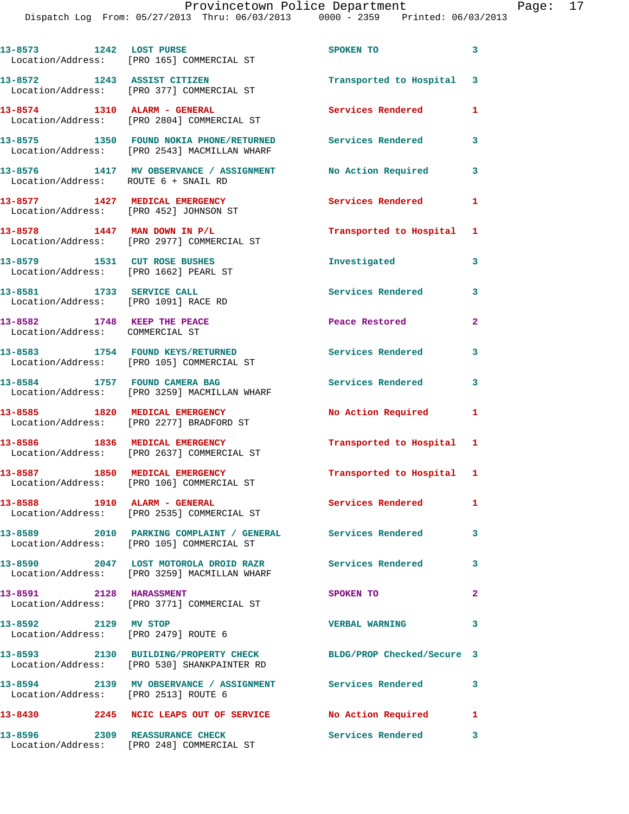Dispatch Log From: 05/27/2013 Thru: 06/03/2013 0000 - 2359 Printed: 06/03/2013

| 13-8573 1242 LOST PURSE                                               | Location/Address: [PRO 165] COMMERCIAL ST                                                                      | SPOKEN TO                 | $\overline{\mathbf{3}}$ |
|-----------------------------------------------------------------------|----------------------------------------------------------------------------------------------------------------|---------------------------|-------------------------|
|                                                                       | 13-8572 1243 ASSIST CITIZEN<br>Location/Address: [PRO 377] COMMERCIAL ST                                       | Transported to Hospital 3 |                         |
| 13-8574 1310 ALARM - GENERAL                                          | Location/Address: [PRO 2804] COMMERCIAL ST                                                                     | <b>Services Rendered</b>  | 1                       |
|                                                                       | 13-8575 1350 FOUND NOKIA PHONE/RETURNED Services Rendered<br>Location/Address: [PRO 2543] MACMILLAN WHARF      |                           | 3                       |
| Location/Address: ROUTE 6 + SNAIL RD                                  | 13-8576 1417 MV OBSERVANCE / ASSIGNMENT                                                                        | No Action Required        | $\mathbf{3}$            |
| 13-8577 1427 MEDICAL EMERGENCY                                        | Location/Address: [PRO 452] JOHNSON ST                                                                         | Services Rendered         | 1                       |
|                                                                       | $13-8578$ 1447 MAN DOWN IN P/L<br>Location/Address: [PRO 2977] COMMERCIAL ST                                   | Transported to Hospital 1 |                         |
| 13-8579 1531 CUT ROSE BUSHES<br>Location/Address: [PRO 1662] PEARL ST |                                                                                                                | Investigated              | 3                       |
| 13-8581 1733 SERVICE CALL<br>Location/Address: [PRO 1091] RACE RD     |                                                                                                                | <b>Services Rendered</b>  | 3                       |
| 13-8582 1748 KEEP THE PEACE<br>Location/Address: COMMERCIAL ST        |                                                                                                                | Peace Restored            | $\overline{a}$          |
|                                                                       | 13-8583 1754 FOUND KEYS/RETURNED<br>Location/Address: [PRO 105] COMMERCIAL ST                                  | <b>Services Rendered</b>  | 3                       |
| 13-8584 1757 FOUND CAMERA BAG                                         | Location/Address: [PRO 3259] MACMILLAN WHARF                                                                   | <b>Services Rendered</b>  | $\mathbf{3}$            |
|                                                                       | 13-8585 1820 MEDICAL EMERGENCY<br>Location/Address: [PRO 2277] BRADFORD ST                                     | <b>No Action Required</b> | 1                       |
| 13-8586 1836 MEDICAL EMERGENCY                                        | Location/Address: [PRO 2637] COMMERCIAL ST                                                                     | Transported to Hospital 1 |                         |
|                                                                       | 13-8587 1850 MEDICAL EMERGENCY<br>Location/Address: [PRO 106] COMMERCIAL ST                                    | Transported to Hospital 1 |                         |
|                                                                       | 13-8588 1910 ALARM - GENERAL<br>Location/Address: [PRO 2535] COMMERCIAL ST                                     | Services Rendered         | $\mathbf{1}$            |
|                                                                       | 13-8589 2010 PARKING COMPLAINT / GENERAL Services Rendered<br>Location/Address: [PRO 105] COMMERCIAL ST        |                           | 3                       |
|                                                                       | 13-8590 2047 LOST MOTOROLA DROID RAZR Services Rendered<br>Location/Address: [PRO 3259] MACMILLAN WHARF        |                           | 3                       |
| 13-8591 2128 HARASSMENT                                               | Location/Address: [PRO 3771] COMMERCIAL ST                                                                     | SPOKEN TO                 | $\mathbf{2}$            |
| 13-8592 2129 MV STOP                                                  | Location/Address: [PRO 2479] ROUTE 6                                                                           | <b>VERBAL WARNING</b>     | $\mathbf{3}$            |
|                                                                       | 13-8593 2130 BUILDING/PROPERTY CHECK BLDG/PROP Checked/Secure 3<br>Location/Address: [PRO 530] SHANKPAINTER RD |                           |                         |
| Location/Address: [PRO 2513] ROUTE 6                                  | 13-8594 2139 MV OBSERVANCE / ASSIGNMENT Services Rendered                                                      |                           | $\mathbf{3}$            |
|                                                                       | 13-8430 2245 NCIC LEAPS OUT OF SERVICE No Action Required                                                      |                           | 1                       |
| 13-8596                                                               | 2309 REASSURANCE CHECK<br>Location/Address: [PRO 248] COMMERCIAL ST                                            | Services Rendered         | $\mathbf{3}$            |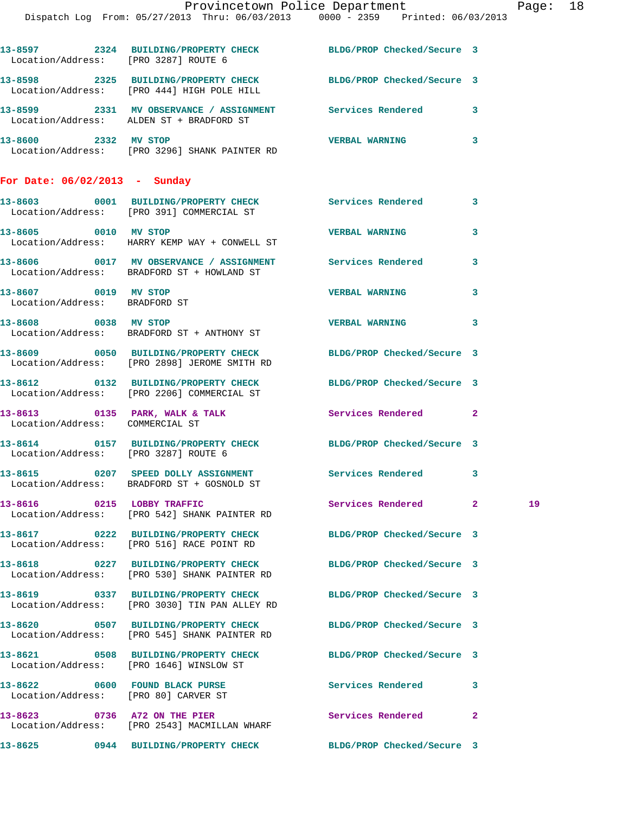**13-8598 2325 BUILDING/PROPERTY CHECK BLDG/PROP Checked/Secure 3**  Location/Address: [PRO 444] HIGH POLE HILL **13-8599 2331 MV OBSERVANCE / ASSIGNMENT Services Rendered 3** 

 Location/Address: ALDEN ST + BRADFORD ST **13-8600 2332 MV STOP VERBAL WARNING 3**  Location/Address: [PRO 3296] SHANK PAINTER RD

**For Date: 06/02/2013 - Sunday**

|                                               | 13-8603 0001 BUILDING/PROPERTY CHECK Services Rendered<br>Location/Address: [PRO 391] COMMERCIAL ST             |                            | $\mathbf{3}$            |
|-----------------------------------------------|-----------------------------------------------------------------------------------------------------------------|----------------------------|-------------------------|
| 13-8605 0010 MV STOP                          | Location/Address: HARRY KEMP WAY + CONWELL ST                                                                   | <b>VERBAL WARNING</b>      | 3                       |
|                                               | 13-8606 0017 MV OBSERVANCE / ASSIGNMENT Services Rendered<br>Location/Address: BRADFORD ST + HOWLAND ST         |                            | $\overline{\mathbf{3}}$ |
| 13-8607 0019<br>Location/Address: BRADFORD ST | <b>MV STOP</b>                                                                                                  | VERBAL WARNING             | $\overline{\mathbf{3}}$ |
| 13-8608 0038 MV STOP                          | Location/Address: BRADFORD ST + ANTHONY ST                                                                      | <b>VERBAL WARNING</b>      | 3                       |
|                                               | 13-8609 0050 BUILDING/PROPERTY CHECK BLDG/PROP Checked/Secure 3<br>Location/Address: [PRO 2898] JEROME SMITH RD |                            |                         |
|                                               | Location/Address: [PRO 2206] COMMERCIAL ST                                                                      | BLDG/PROP Checked/Secure 3 |                         |

13-8613 **0135 PARK, WALK & TALK Services Rendered** 2 Location/Address: COMMERCIAL ST

**13-8614 0157 BUILDING/PROPERTY CHECK BLDG/PROP Checked/Secure 3**  Location/Address: [PRO 3287] ROUTE 6

**13-8615 0207 SPEED DOLLY ASSIGNMENT Services Rendered 3**  Location/Address: BRADFORD ST + GOSNOLD ST

**13-8616 0215 LOBBY TRAFFIC Services Rendered 2 19**  Location/Address: [PRO 542] SHANK PAINTER RD

**13-8617 0222 BUILDING/PROPERTY CHECK BLDG/PROP Checked/Secure 3**  Location/Address: [PRO 516] RACE POINT RD

**13-8618 0227 BUILDING/PROPERTY CHECK BLDG/PROP Checked/Secure 3**  Location/Address: [PRO 530] SHANK PAINTER RD

**13-8619 0337 BUILDING/PROPERTY CHECK BLDG/PROP Checked/Secure 3**  Location/Address: [PRO 3030] TIN PAN ALLEY RD

**13-8620 0507 BUILDING/PROPERTY CHECK BLDG/PROP Checked/Secure 3**  Location/Address: [PRO 545] SHANK PAINTER RD

**13-8621 0508 BUILDING/PROPERTY CHECK BLDG/PROP Checked/Secure 3**  Location/Address: [PRO 1646] WINSLOW ST

**13-8622 0600 FOUND BLACK PURSE Services Rendered 3** 

**13-8623 0736 A72 ON THE PIER Services Rendered 2**  Location/Address: [PRO 2543] MACMILLAN WHARF

Location/Address: [PRO 80] CARVER ST

**13-8625 0944 BUILDING/PROPERTY CHECK BLDG/PROP Checked/Secure 3**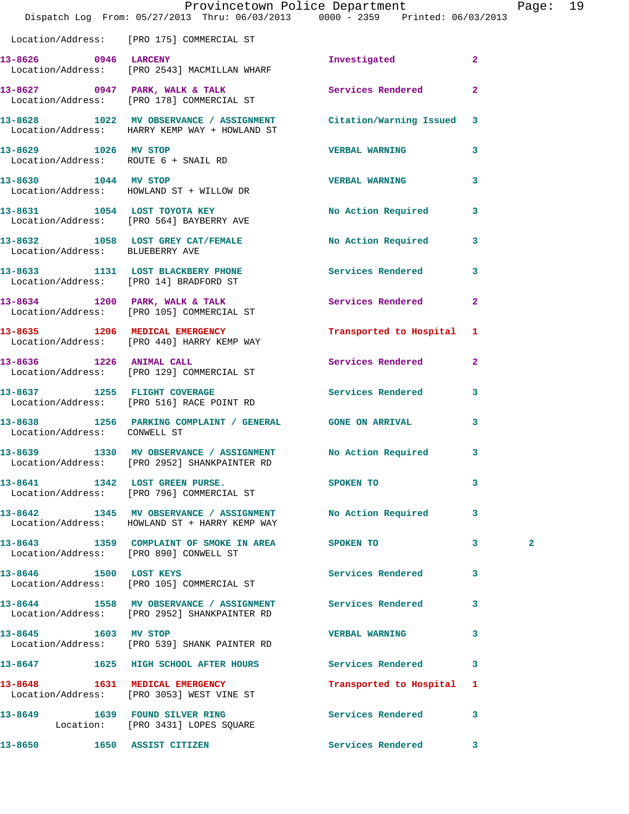|                                                              | Dispatch Log From: 05/27/2013 Thru: 06/03/2013 0000 - 2359 Printed: 06/03/2013                                     | Provincetown Police Department |                | Page: 19     |  |
|--------------------------------------------------------------|--------------------------------------------------------------------------------------------------------------------|--------------------------------|----------------|--------------|--|
|                                                              | Location/Address: [PRO 175] COMMERCIAL ST                                                                          |                                |                |              |  |
| 13-8626 0946 LARCENY                                         | Location/Address: [PRO 2543] MACMILLAN WHARF                                                                       | Investigated                   | $\overline{2}$ |              |  |
|                                                              | 13-8627 0947 PARK, WALK & TALK<br>Location/Address: [PRO 178] COMMERCIAL ST                                        | Services Rendered              | $\overline{2}$ |              |  |
|                                                              | 13-8628 1022 MV OBSERVANCE / ASSIGNMENT Citation/Warning Issued 3<br>Location/Address: HARRY KEMP WAY + HOWLAND ST |                                |                |              |  |
| 13-8629 1026 MV STOP<br>Location/Address: ROUTE 6 + SNAIL RD |                                                                                                                    | <b>VERBAL WARNING</b>          | 3              |              |  |
| 13-8630 1044 MV STOP                                         | Location/Address: HOWLAND ST + WILLOW DR                                                                           | VERBAL WARNING 3               |                |              |  |
|                                                              | 13-8631 1054 LOST TOYOTA KEY<br>Location/Address: [PRO 564] BAYBERRY AVE                                           | No Action Required 3           |                |              |  |
| Location/Address: BLUEBERRY AVE                              | 13-8632 1058 LOST GREY CAT/FEMALE No Action Required 3                                                             |                                |                |              |  |
|                                                              | 13-8633 1131 LOST BLACKBERY PHONE<br>Location/Address: [PRO 14] BRADFORD ST                                        | Services Rendered              | 3              |              |  |
|                                                              | 13-8634 1200 PARK, WALK & TALK<br>Location/Address: [PRO 105] COMMERCIAL ST                                        | Services Rendered              | $\overline{2}$ |              |  |
|                                                              | 13-8635 1206 MEDICAL EMERGENCY<br>Location/Address: [PRO 440] HARRY KEMP WAY                                       | Transported to Hospital 1      |                |              |  |
|                                                              | 13-8636 1226 ANIMAL CALL<br>Location/Address: [PRO 129] COMMERCIAL ST                                              | <b>Services Rendered</b>       | $\overline{2}$ |              |  |
|                                                              | 13-8637 1255 FLIGHT COVERAGE<br>Location/Address: [PRO 516] RACE POINT RD                                          | Services Rendered 3            |                |              |  |
| Location/Address: CONWELL ST                                 | 13-8638 1256 PARKING COMPLAINT / GENERAL GONE ON ARRIVAL                                                           |                                | 3              |              |  |
|                                                              | 13-8639 1330 MV OBSERVANCE / ASSIGNMENT NO Action Required 3<br>Location/Address: [PRO 2952] SHANKPAINTER RD       |                                |                |              |  |
|                                                              | 13-8641 1342 LOST GREEN PURSE. SPOKEN TO<br>Location/Address: [PRO 796] COMMERCIAL ST                              |                                | 3              |              |  |
|                                                              | 13-8642 1345 MV OBSERVANCE / ASSIGNMENT No Action Required 3<br>Location/Address: HOWLAND ST + HARRY KEMP WAY      |                                |                |              |  |
|                                                              | 13-8643 1359 COMPLAINT OF SMOKE IN AREA SPOKEN TO 3<br>Location/Address: [PRO 890] CONWELL ST                      |                                |                | $\mathbf{2}$ |  |
|                                                              | 13-8646 1500 LOST KEYS<br>Location/Address: [PRO 105] COMMERCIAL ST                                                | Services Rendered 3            |                |              |  |
|                                                              | 13-8644 1558 MV OBSERVANCE / ASSIGNMENT Services Rendered<br>Location/Address: [PRO 2952] SHANKPAINTER RD          |                                | $\mathbf{3}$   |              |  |
| 13-8645 1603 MV STOP                                         | Location/Address: [PRO 539] SHANK PAINTER RD                                                                       | <b>VERBAL WARNING</b>          | 3              |              |  |
|                                                              | 13-8647 1625 HIGH SCHOOL AFTER HOURS Services Rendered 3                                                           |                                |                |              |  |
|                                                              | 13-8648 1631 MEDICAL EMERGENCY<br>Location/Address: [PRO 3053] WEST VINE ST                                        | Transported to Hospital 1      |                |              |  |
|                                                              | 13-8649 1639 FOUND SILVER RING<br>Location: [PRO 3431] LOPES SQUARE                                                | Services Rendered 3            |                |              |  |
|                                                              | 13-8650 1650 ASSIST CITIZEN                                                                                        | Services Rendered 3            |                |              |  |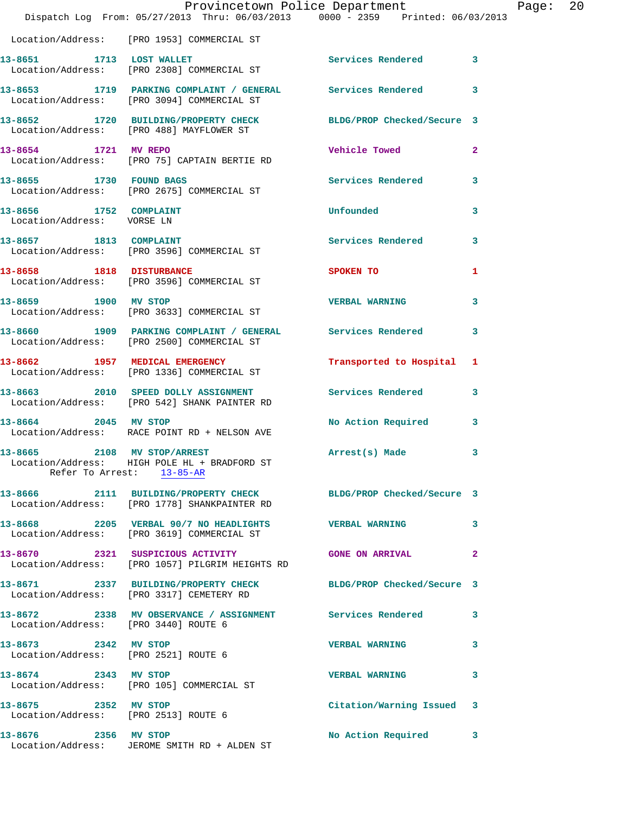|                                                      | Dispatch Log From: 05/27/2013 Thru: 06/03/2013 0000 - 2359 Printed: 06/03/2013                                  | Provincetown Police Department |              | Page: 20 |  |
|------------------------------------------------------|-----------------------------------------------------------------------------------------------------------------|--------------------------------|--------------|----------|--|
|                                                      | Location/Address: [PRO 1953] COMMERCIAL ST                                                                      |                                |              |          |  |
|                                                      | 13-8651 1713 LOST WALLET<br>Location/Address: [PRO 2308] COMMERCIAL ST                                          | Services Rendered 3            |              |          |  |
|                                                      | 13-8653 1719 PARKING COMPLAINT / GENERAL Services Rendered 3<br>Location/Address: [PRO 3094] COMMERCIAL ST      |                                |              |          |  |
|                                                      | 13-8652 1720 BUILDING/PROPERTY CHECK BLDG/PROP Checked/Secure 3<br>Location/Address: [PRO 488] MAYFLOWER ST     |                                |              |          |  |
|                                                      | 13-8654 1721 MV REPO<br>Location/Address: [PRO 75] CAPTAIN BERTIE RD                                            | <b>Vehicle Towed</b>           | $\mathbf{2}$ |          |  |
| 13-8655 1730 FOUND BAGS                              | Location/Address: [PRO 2675] COMMERCIAL ST                                                                      | Services Rendered 3            |              |          |  |
| 13-8656 1752 COMPLAINT<br>Location/Address: VORSE LN |                                                                                                                 | <b>Unfounded</b>               | 3            |          |  |
| 13-8657 1813 COMPLAINT                               | Location/Address: [PRO 3596] COMMERCIAL ST                                                                      | Services Rendered 3            |              |          |  |
|                                                      | 13-8658 1818 DISTURBANCE<br>Location/Address: [PRO 3596] COMMERCIAL ST                                          | SPOKEN TO                      | 1            |          |  |
| 13-8659 1900 MV STOP                                 | Location/Address: [PRO 3633] COMMERCIAL ST                                                                      | <b>VERBAL WARNING</b>          | 3            |          |  |
|                                                      | 13-8660 1909 PARKING COMPLAINT / GENERAL Services Rendered 3<br>Location/Address: [PRO 2500] COMMERCIAL ST      |                                |              |          |  |
|                                                      | 13-8662 1957 MEDICAL EMERGENCY<br>Location/Address: [PRO 1336] COMMERCIAL ST                                    | Transported to Hospital 1      |              |          |  |
|                                                      | 13-8663 2010 SPEED DOLLY ASSIGNMENT Services Rendered 3<br>Location/Address: [PRO 542] SHANK PAINTER RD         |                                |              |          |  |
| 13-8664 2045 MV STOP                                 | Location/Address: RACE POINT RD + NELSON AVE                                                                    | No Action Required 3           |              |          |  |
| 13-8665 2108 MV STOP/ARREST                          | Location/Address: HIGH POLE HL + BRADFORD ST<br>Refer To Arrest: 13-85-AR                                       | Arrest(s) Made 3               |              |          |  |
|                                                      | 13-8666 2111 BUILDING/PROPERTY CHECK BLDG/PROP Checked/Secure 3<br>Location/Address: [PRO 1778] SHANKPAINTER RD |                                |              |          |  |
|                                                      | 13-8668 2205 VERBAL 90/7 NO HEADLIGHTS VERBAL WARNING<br>Location/Address: [PRO 3619] COMMERCIAL ST             |                                | 3            |          |  |
|                                                      | 13-8670 2321 SUSPICIOUS ACTIVITY CONE ON ARRIVAL<br>Location/Address: [PRO 1057] PILGRIM HEIGHTS RD             |                                | $\mathbf{2}$ |          |  |
|                                                      | 13-8671 2337 BUILDING/PROPERTY CHECK BLDG/PROP Checked/Secure 3<br>Location/Address: [PRO 3317] CEMETERY RD     |                                |              |          |  |
| Location/Address: [PRO 3440] ROUTE 6                 | 13-8672 2338 MV OBSERVANCE / ASSIGNMENT Services Rendered                                                       |                                | $\mathbf{3}$ |          |  |
| 13-8673 2342 MV STOP                                 | Location/Address: [PRO 2521] ROUTE 6                                                                            | <b>VERBAL WARNING</b>          | 3            |          |  |
| 13-8674 2343 MV STOP                                 | Location/Address: [PRO 105] COMMERCIAL ST                                                                       | <b>VERBAL WARNING</b>          | 3            |          |  |
| 13-8675 2352 MV STOP                                 | Location/Address: [PRO 2513] ROUTE 6                                                                            | Citation/Warning Issued 3      |              |          |  |
| 13-8676 2356 MV STOP                                 | Location/Address: JEROME SMITH RD + ALDEN ST                                                                    | No Action Required 3           |              |          |  |